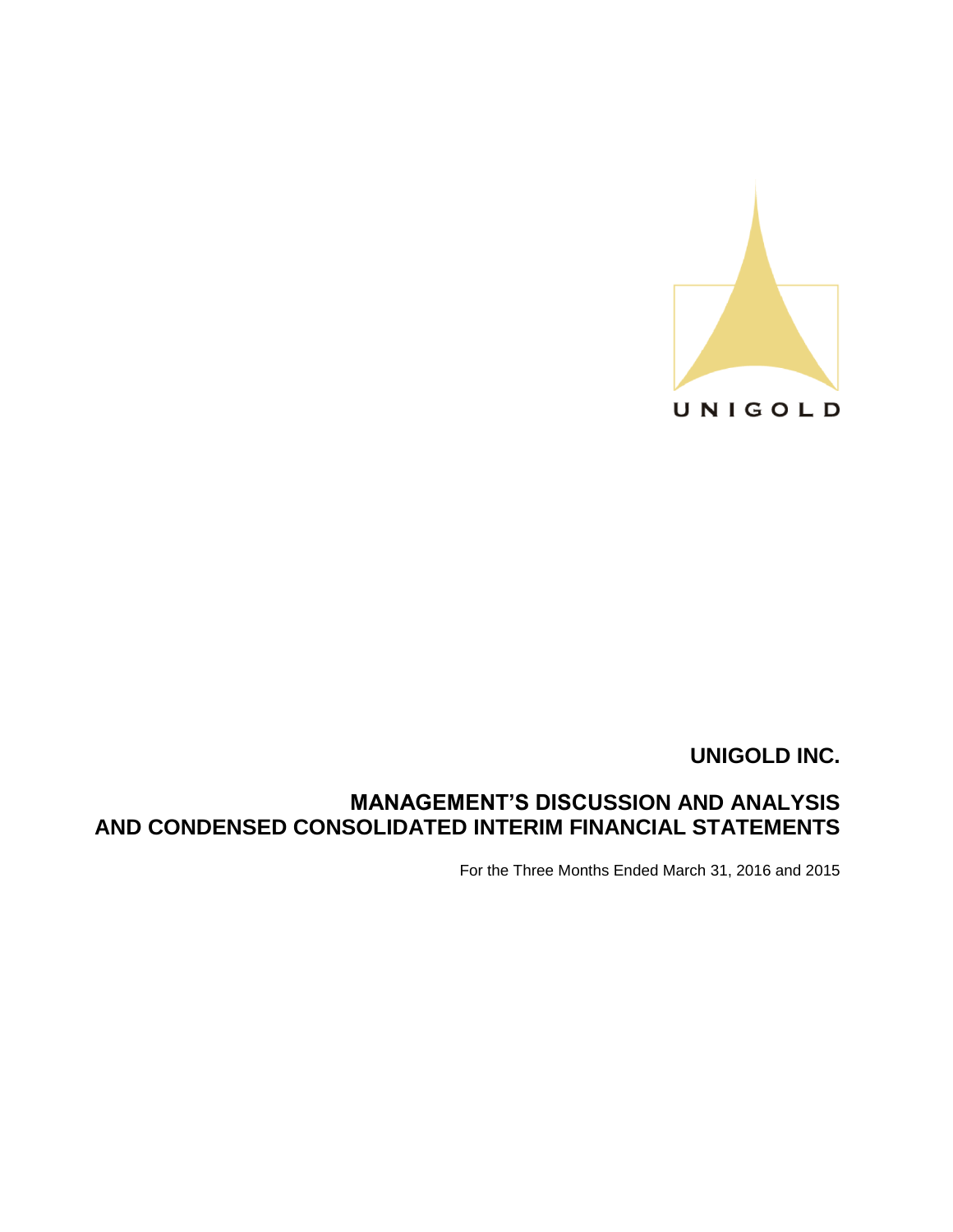

# **MANAGEMENT'S DISCUSSION AND ANALYSIS AND CONDENSED CONSOLIDATED INTERIM FINANCIAL STATEMENTS**

For the Three Months Ended March 31, 2016 and 2015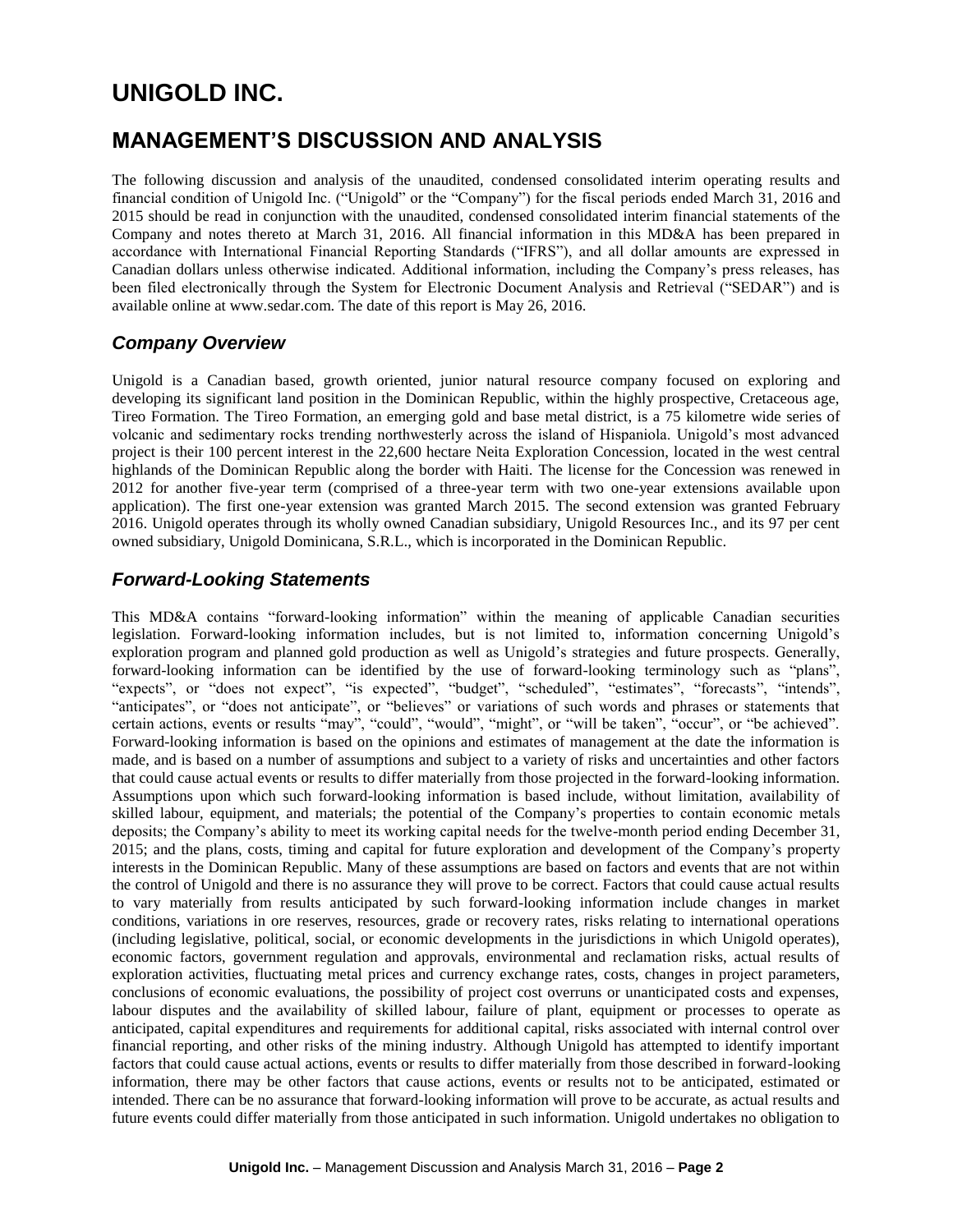# **MANAGEMENT'S DISCUSSION AND ANALYSIS**

The following discussion and analysis of the unaudited, condensed consolidated interim operating results and financial condition of Unigold Inc. ("Unigold" or the "Company") for the fiscal periods ended March 31, 2016 and 2015 should be read in conjunction with the unaudited, condensed consolidated interim financial statements of the Company and notes thereto at March 31, 2016. All financial information in this MD&A has been prepared in accordance with International Financial Reporting Standards ("IFRS"), and all dollar amounts are expressed in Canadian dollars unless otherwise indicated. Additional information, including the Company's press releases, has been filed electronically through the System for Electronic Document Analysis and Retrieval ("SEDAR") and is available online at www.sedar.com. The date of this report is May 26, 2016.

# *Company Overview*

Unigold is a Canadian based, growth oriented, junior natural resource company focused on exploring and developing its significant land position in the Dominican Republic, within the highly prospective, Cretaceous age, Tireo Formation. The Tireo Formation, an emerging gold and base metal district, is a 75 kilometre wide series of volcanic and sedimentary rocks trending northwesterly across the island of Hispaniola. Unigold's most advanced project is their 100 percent interest in the 22,600 hectare Neita Exploration Concession, located in the west central highlands of the Dominican Republic along the border with Haiti. The license for the Concession was renewed in 2012 for another five-year term (comprised of a three-year term with two one-year extensions available upon application). The first one-year extension was granted March 2015. The second extension was granted February 2016. Unigold operates through its wholly owned Canadian subsidiary, Unigold Resources Inc., and its 97 per cent owned subsidiary, Unigold Dominicana, S.R.L., which is incorporated in the Dominican Republic.

# *Forward-Looking Statements*

This MD&A contains "forward-looking information" within the meaning of applicable Canadian securities legislation. Forward-looking information includes, but is not limited to, information concerning Unigold's exploration program and planned gold production as well as Unigold's strategies and future prospects. Generally, forward-looking information can be identified by the use of forward-looking terminology such as "plans", "expects", or "does not expect", "is expected", "budget", "scheduled", "estimates", "forecasts", "intends", "anticipates", or "does not anticipate", or "believes" or variations of such words and phrases or statements that certain actions, events or results "may", "could", "would", "might", or "will be taken", "occur", or "be achieved". Forward-looking information is based on the opinions and estimates of management at the date the information is made, and is based on a number of assumptions and subject to a variety of risks and uncertainties and other factors that could cause actual events or results to differ materially from those projected in the forward-looking information. Assumptions upon which such forward-looking information is based include, without limitation, availability of skilled labour, equipment, and materials; the potential of the Company's properties to contain economic metals deposits; the Company's ability to meet its working capital needs for the twelve-month period ending December 31, 2015; and the plans, costs, timing and capital for future exploration and development of the Company's property interests in the Dominican Republic. Many of these assumptions are based on factors and events that are not within the control of Unigold and there is no assurance they will prove to be correct. Factors that could cause actual results to vary materially from results anticipated by such forward-looking information include changes in market conditions, variations in ore reserves, resources, grade or recovery rates, risks relating to international operations (including legislative, political, social, or economic developments in the jurisdictions in which Unigold operates), economic factors, government regulation and approvals, environmental and reclamation risks, actual results of exploration activities, fluctuating metal prices and currency exchange rates, costs, changes in project parameters, conclusions of economic evaluations, the possibility of project cost overruns or unanticipated costs and expenses, labour disputes and the availability of skilled labour, failure of plant, equipment or processes to operate as anticipated, capital expenditures and requirements for additional capital, risks associated with internal control over financial reporting, and other risks of the mining industry. Although Unigold has attempted to identify important factors that could cause actual actions, events or results to differ materially from those described in forward-looking information, there may be other factors that cause actions, events or results not to be anticipated, estimated or intended. There can be no assurance that forward-looking information will prove to be accurate, as actual results and future events could differ materially from those anticipated in such information. Unigold undertakes no obligation to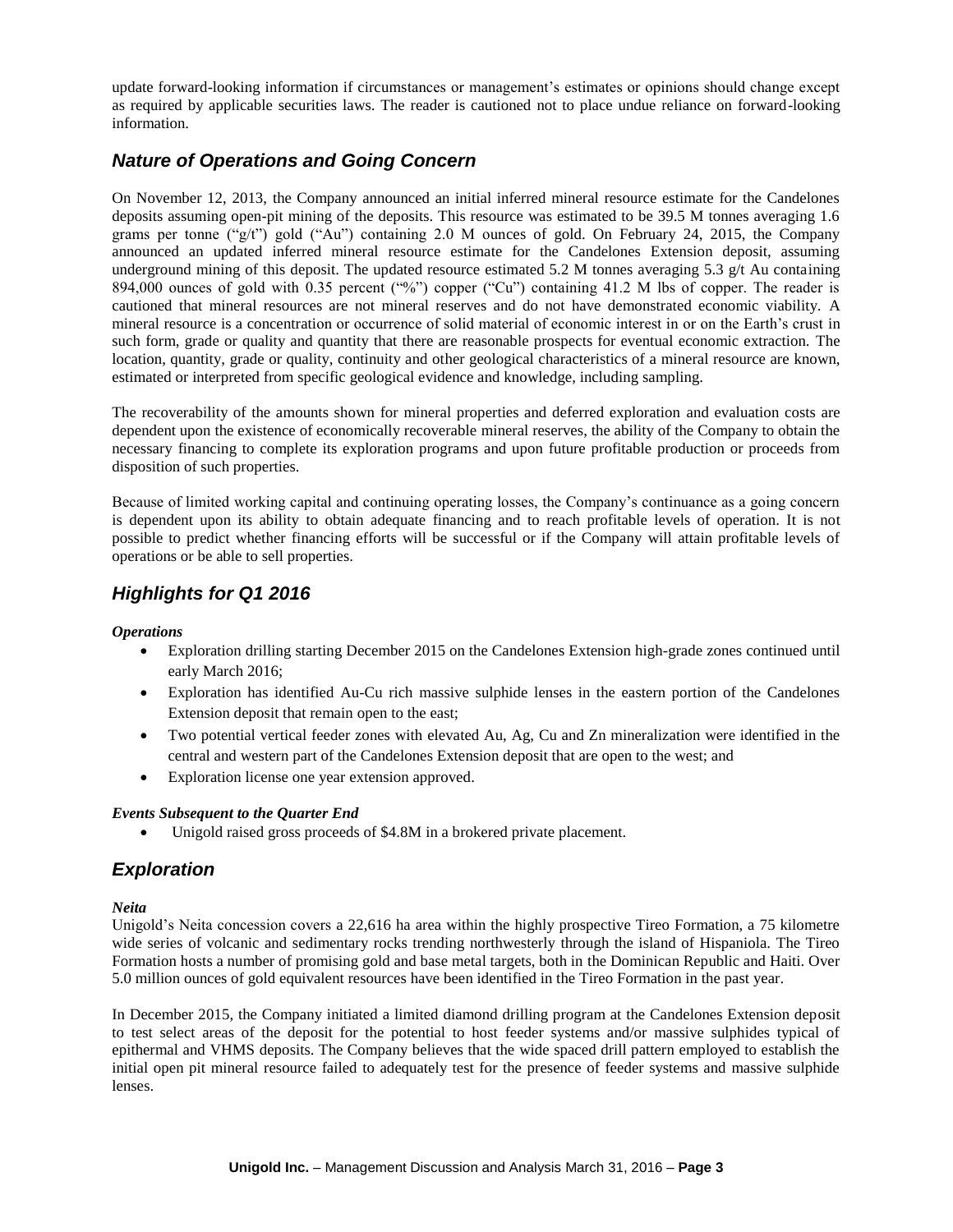update forward-looking information if circumstances or management's estimates or opinions should change except as required by applicable securities laws. The reader is cautioned not to place undue reliance on forward-looking information.

# *Nature of Operations and Going Concern*

On November 12, 2013, the Company announced an initial inferred mineral resource estimate for the Candelones deposits assuming open-pit mining of the deposits. This resource was estimated to be 39.5 M tonnes averaging 1.6 grams per tonne ("g/t") gold ("Au") containing 2.0 M ounces of gold. On February 24, 2015, the Company announced an updated inferred mineral resource estimate for the Candelones Extension deposit, assuming underground mining of this deposit. The updated resource estimated 5.2 M tonnes averaging 5.3  $g/t$  Au containing 894,000 ounces of gold with 0.35 percent ("%") copper ("Cu") containing 41.2 M lbs of copper. The reader is cautioned that mineral resources are not mineral reserves and do not have demonstrated economic viability. A mineral resource is a concentration or occurrence of solid material of economic interest in or on the Earth's crust in such form, grade or quality and quantity that there are reasonable prospects for eventual economic extraction. The location, quantity, grade or quality, continuity and other geological characteristics of a mineral resource are known, estimated or interpreted from specific geological evidence and knowledge, including sampling.

The recoverability of the amounts shown for mineral properties and deferred exploration and evaluation costs are dependent upon the existence of economically recoverable mineral reserves, the ability of the Company to obtain the necessary financing to complete its exploration programs and upon future profitable production or proceeds from disposition of such properties.

Because of limited working capital and continuing operating losses, the Company's continuance as a going concern is dependent upon its ability to obtain adequate financing and to reach profitable levels of operation. It is not possible to predict whether financing efforts will be successful or if the Company will attain profitable levels of operations or be able to sell properties.

# *Highlights for Q1 2016*

### *Operations*

- Exploration drilling starting December 2015 on the Candelones Extension high-grade zones continued until early March 2016;
- Exploration has identified Au-Cu rich massive sulphide lenses in the eastern portion of the Candelones Extension deposit that remain open to the east;
- Two potential vertical feeder zones with elevated Au, Ag, Cu and Zn mineralization were identified in the central and western part of the Candelones Extension deposit that are open to the west; and
- Exploration license one year extension approved.

### *Events Subsequent to the Quarter End*

Unigold raised gross proceeds of \$4.8M in a brokered private placement.

### *Exploration*

### *Neita*

Unigold's Neita concession covers a 22,616 ha area within the highly prospective Tireo Formation, a 75 kilometre wide series of volcanic and sedimentary rocks trending northwesterly through the island of Hispaniola. The Tireo Formation hosts a number of promising gold and base metal targets, both in the Dominican Republic and Haiti. Over 5.0 million ounces of gold equivalent resources have been identified in the Tireo Formation in the past year.

In December 2015, the Company initiated a limited diamond drilling program at the Candelones Extension deposit to test select areas of the deposit for the potential to host feeder systems and/or massive sulphides typical of epithermal and VHMS deposits. The Company believes that the wide spaced drill pattern employed to establish the initial open pit mineral resource failed to adequately test for the presence of feeder systems and massive sulphide lenses.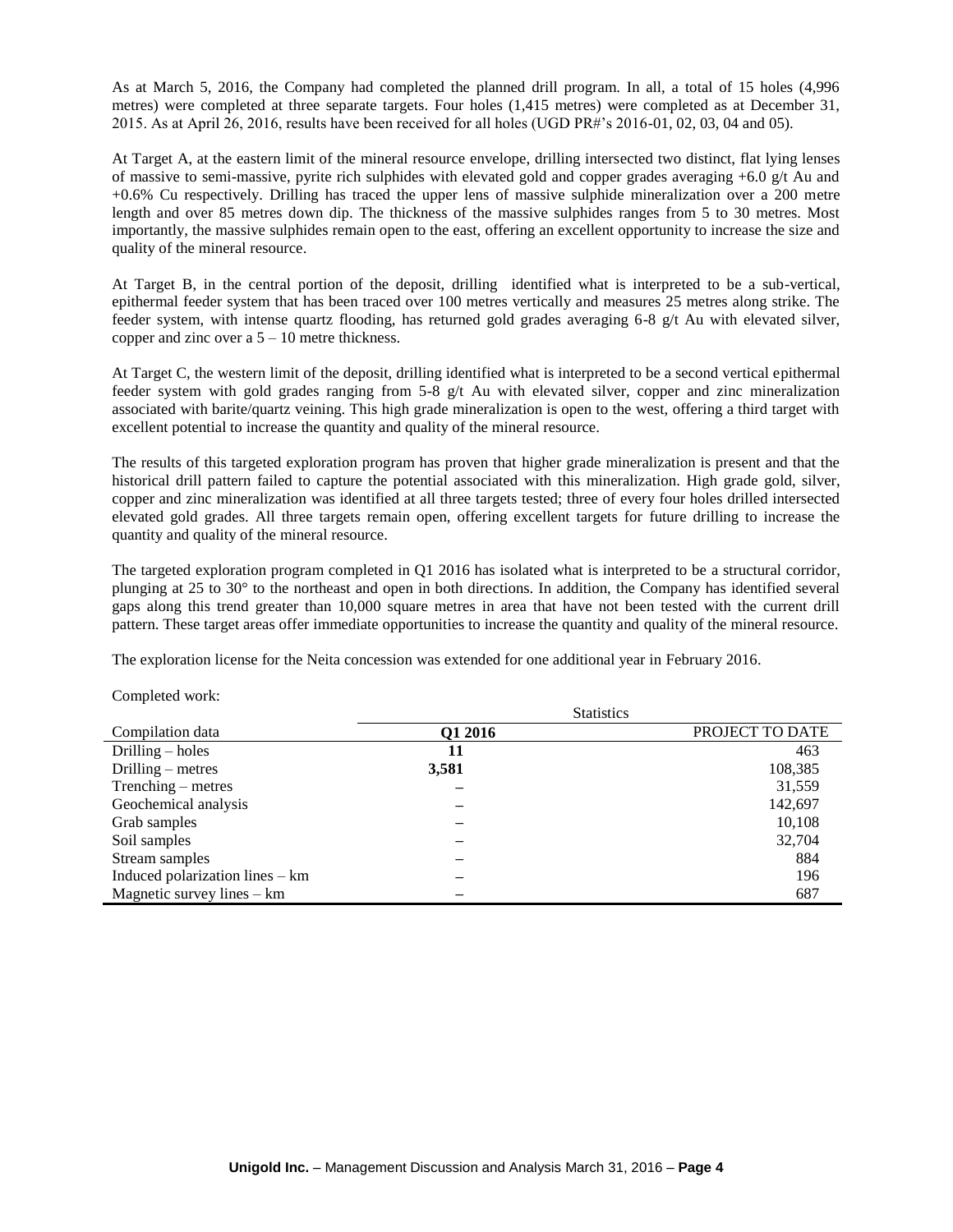As at March 5, 2016, the Company had completed the planned drill program. In all, a total of 15 holes (4,996 metres) were completed at three separate targets. Four holes (1,415 metres) were completed as at December 31, 2015. As at April 26, 2016, results have been received for all holes (UGD PR#'s 2016-01, 02, 03, 04 and 05).

At Target A, at the eastern limit of the mineral resource envelope, drilling intersected two distinct, flat lying lenses of massive to semi-massive, pyrite rich sulphides with elevated gold and copper grades averaging  $+6.0$  g/t Au and +0.6% Cu respectively. Drilling has traced the upper lens of massive sulphide mineralization over a 200 metre length and over 85 metres down dip. The thickness of the massive sulphides ranges from 5 to 30 metres. Most importantly, the massive sulphides remain open to the east, offering an excellent opportunity to increase the size and quality of the mineral resource.

At Target B, in the central portion of the deposit, drilling identified what is interpreted to be a sub-vertical, epithermal feeder system that has been traced over 100 metres vertically and measures 25 metres along strike. The feeder system, with intense quartz flooding, has returned gold grades averaging 6-8 g/t Au with elevated silver, copper and zinc over a  $5 - 10$  metre thickness.

At Target C, the western limit of the deposit, drilling identified what is interpreted to be a second vertical epithermal feeder system with gold grades ranging from 5-8 g/t Au with elevated silver, copper and zinc mineralization associated with barite/quartz veining. This high grade mineralization is open to the west, offering a third target with excellent potential to increase the quantity and quality of the mineral resource.

The results of this targeted exploration program has proven that higher grade mineralization is present and that the historical drill pattern failed to capture the potential associated with this mineralization. High grade gold, silver, copper and zinc mineralization was identified at all three targets tested; three of every four holes drilled intersected elevated gold grades. All three targets remain open, offering excellent targets for future drilling to increase the quantity and quality of the mineral resource.

The targeted exploration program completed in Q1 2016 has isolated what is interpreted to be a structural corridor, plunging at 25 to 30° to the northeast and open in both directions. In addition, the Company has identified several gaps along this trend greater than 10,000 square metres in area that have not been tested with the current drill pattern. These target areas offer immediate opportunities to increase the quantity and quality of the mineral resource.

 $\sigma$ .  $\sigma$   $\sigma$ 

The exploration license for the Neita concession was extended for one additional year in February 2016.

| Completed work: |  |  |
|-----------------|--|--|
|-----------------|--|--|

|                                 | Statistics |                 |
|---------------------------------|------------|-----------------|
| Compilation data                | Q1 2016    | PROJECT TO DATE |
| Drilling $-$ holes              | 11         | 463             |
| Drilling $-$ metres             | 3,581      | 108,385         |
| $Trenching - metres$            |            | 31,559          |
| Geochemical analysis            |            | 142,697         |
| Grab samples                    |            | 10,108          |
| Soil samples                    |            | 32,704          |
| Stream samples                  |            | 884             |
| Induced polarization lines – km |            | 196             |
| Magnetic survey lines $-$ km    |            | 687             |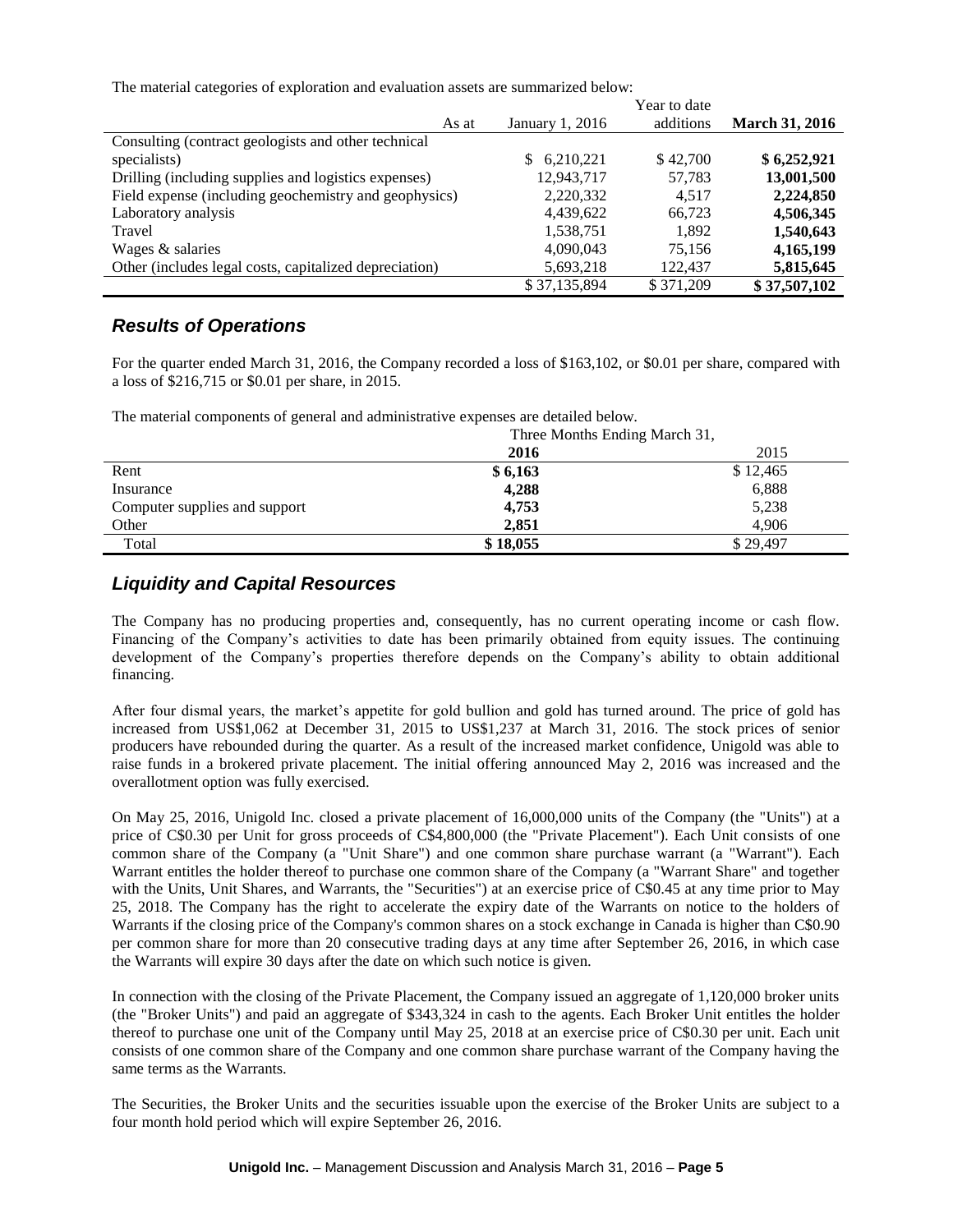The material categories of exploration and evaluation assets are summarized below:

|                                                        |                 | Year to date |                       |
|--------------------------------------------------------|-----------------|--------------|-----------------------|
| As at                                                  | January 1, 2016 | additions    | <b>March 31, 2016</b> |
| Consulting (contract geologists and other technical    |                 |              |                       |
| specialists)                                           | 6,210,221<br>S. | \$42,700     | \$6,252,921           |
| Drilling (including supplies and logistics expenses)   | 12,943,717      | 57,783       | 13,001,500            |
| Field expense (including geochemistry and geophysics)  | 2,220,332       | 4.517        | 2,224,850             |
| Laboratory analysis                                    | 4,439,622       | 66,723       | 4,506,345             |
| Travel                                                 | 1,538,751       | 1,892        | 1,540,643             |
| Wages & salaries                                       | 4,090,043       | 75.156       | 4,165,199             |
| Other (includes legal costs, capitalized depreciation) | 5,693,218       | 122,437      | 5,815,645             |
|                                                        | \$37,135,894    | \$371,209    | \$37,507,102          |

### *Results of Operations*

For the quarter ended March 31, 2016, the Company recorded a loss of \$163,102, or \$0.01 per share, compared with a loss of \$216,715 or \$0.01 per share, in 2015.

The material components of general and administrative expenses are detailed below.

|                               | Three Months Ending March 31, |          |
|-------------------------------|-------------------------------|----------|
|                               | 2016                          | 2015     |
| Rent                          | \$6,163                       | \$12,465 |
| Insurance                     | 4,288                         | 6,888    |
| Computer supplies and support | 4.753                         | 5,238    |
| Other                         | 2,851                         | 4.906    |
| Total                         | \$18,055                      | \$29,497 |

# *Liquidity and Capital Resources*

The Company has no producing properties and, consequently, has no current operating income or cash flow. Financing of the Company's activities to date has been primarily obtained from equity issues. The continuing development of the Company's properties therefore depends on the Company's ability to obtain additional financing.

After four dismal years, the market's appetite for gold bullion and gold has turned around. The price of gold has increased from US\$1,062 at December 31, 2015 to US\$1,237 at March 31, 2016. The stock prices of senior producers have rebounded during the quarter. As a result of the increased market confidence, Unigold was able to raise funds in a brokered private placement. The initial offering announced May 2, 2016 was increased and the overallotment option was fully exercised.

On May 25, 2016, Unigold Inc. closed a private placement of 16,000,000 units of the Company (the "Units") at a price of C\$0.30 per Unit for gross proceeds of C\$4,800,000 (the "Private Placement"). Each Unit consists of one common share of the Company (a "Unit Share") and one common share purchase warrant (a "Warrant"). Each Warrant entitles the holder thereof to purchase one common share of the Company (a "Warrant Share" and together with the Units, Unit Shares, and Warrants, the "Securities") at an exercise price of C\$0.45 at any time prior to May 25, 2018. The Company has the right to accelerate the expiry date of the Warrants on notice to the holders of Warrants if the closing price of the Company's common shares on a stock exchange in Canada is higher than C\$0.90 per common share for more than 20 consecutive trading days at any time after September 26, 2016, in which case the Warrants will expire 30 days after the date on which such notice is given.

In connection with the closing of the Private Placement, the Company issued an aggregate of 1,120,000 broker units (the "Broker Units") and paid an aggregate of \$343,324 in cash to the agents. Each Broker Unit entitles the holder thereof to purchase one unit of the Company until May 25, 2018 at an exercise price of C\$0.30 per unit. Each unit consists of one common share of the Company and one common share purchase warrant of the Company having the same terms as the Warrants.

The Securities, the Broker Units and the securities issuable upon the exercise of the Broker Units are subject to a four month hold period which will expire September 26, 2016.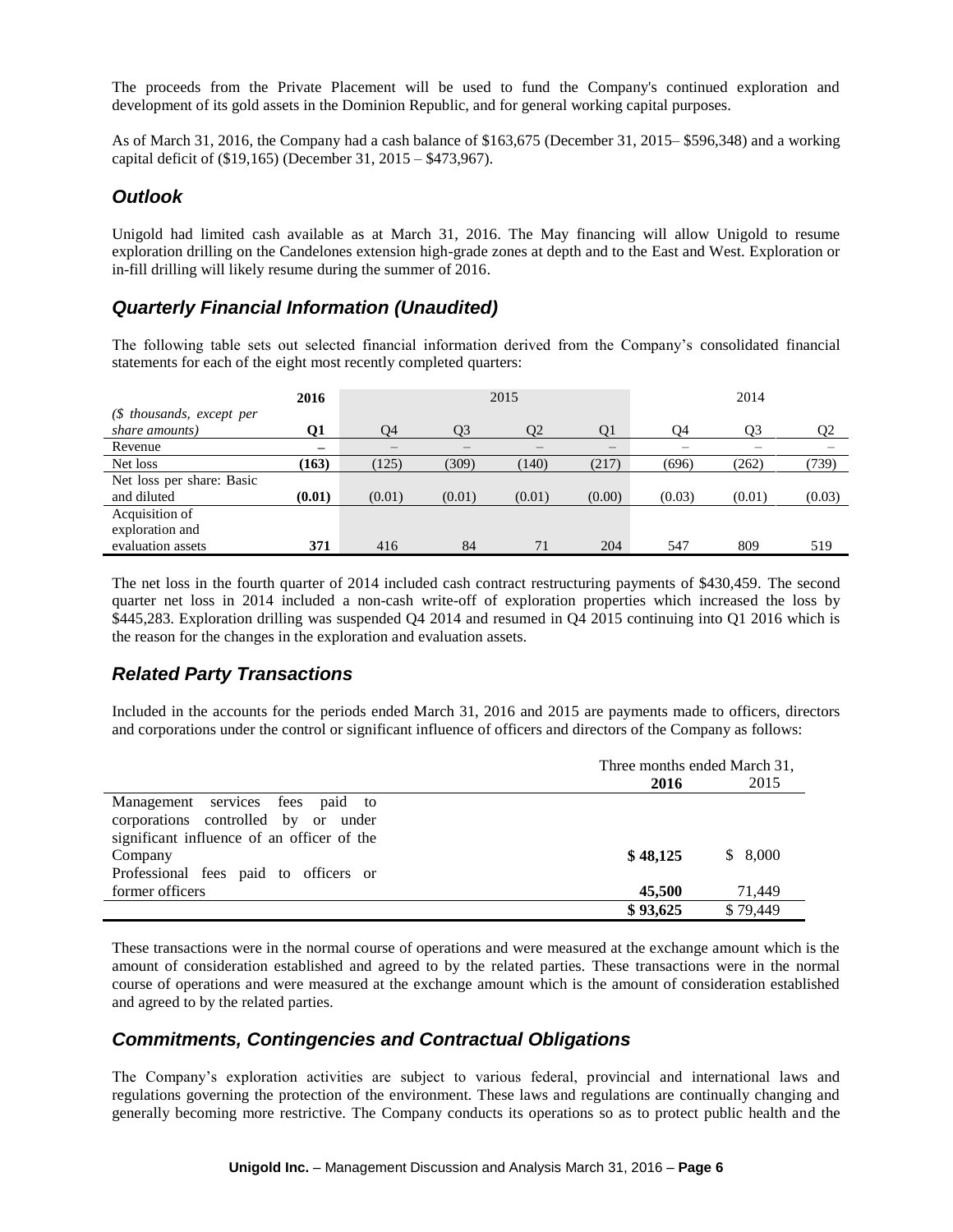The proceeds from the Private Placement will be used to fund the Company's continued exploration and development of its gold assets in the Dominion Republic, and for general working capital purposes.

As of March 31, 2016, the Company had a cash balance of \$163,675 (December 31, 2015– \$596,348) and a working capital deficit of (\$19,165) (December 31, 2015 – \$473,967).

### *Outlook*

Unigold had limited cash available as at March 31, 2016. The May financing will allow Unigold to resume exploration drilling on the Candelones extension high-grade zones at depth and to the East and West. Exploration or in-fill drilling will likely resume during the summer of 2016.

# *Quarterly Financial Information (Unaudited)*

The following table sets out selected financial information derived from the Company's consolidated financial statements for each of the eight most recently completed quarters:

|                                             | 2016                     |        |        | 2015           |                          |        | 2014   |                |
|---------------------------------------------|--------------------------|--------|--------|----------------|--------------------------|--------|--------|----------------|
| (\$ thousands, except per<br>share amounts) | 01                       | O4     | O3     | $\mathcal{D}2$ | O <sub>1</sub>           | 04     | O3     | O <sub>2</sub> |
| Revenue                                     | $\overline{\phantom{0}}$ |        |        |                | $\overline{\phantom{0}}$ | –      |        |                |
| Net loss                                    | (163)                    | (125)  | (309)  | (140)          | (217)                    | (696)  | (262)  | (739)          |
| Net loss per share: Basic<br>and diluted    | (0.01)                   | (0.01) | (0.01) | (0.01)         | (0.00)                   | (0.03) | (0.01) | (0.03)         |
| Acquisition of<br>exploration and           |                          |        |        |                |                          |        |        |                |
| evaluation assets                           | 371                      | 416    | 84     | 71             | 204                      | 547    | 809    | 519            |

The net loss in the fourth quarter of 2014 included cash contract restructuring payments of \$430,459. The second quarter net loss in 2014 included a non-cash write-off of exploration properties which increased the loss by \$445,283. Exploration drilling was suspended Q4 2014 and resumed in Q4 2015 continuing into Q1 2016 which is the reason for the changes in the exploration and evaluation assets.

# *Related Party Transactions*

Included in the accounts for the periods ended March 31, 2016 and 2015 are payments made to officers, directors and corporations under the control or significant influence of officers and directors of the Company as follows:

|                                            | Three months ended March 31, |          |  |
|--------------------------------------------|------------------------------|----------|--|
|                                            | 2016                         | 2015     |  |
| Management services fees paid to           |                              |          |  |
| corporations controlled by or under        |                              |          |  |
| significant influence of an officer of the |                              |          |  |
| Company                                    | \$48,125                     | \$8.000  |  |
| Professional fees paid to officers or      |                              |          |  |
| former officers                            | 45,500                       | 71.449   |  |
|                                            | \$93,625                     | \$79,449 |  |

These transactions were in the normal course of operations and were measured at the exchange amount which is the amount of consideration established and agreed to by the related parties. These transactions were in the normal course of operations and were measured at the exchange amount which is the amount of consideration established and agreed to by the related parties.

# *Commitments, Contingencies and Contractual Obligations*

The Company's exploration activities are subject to various federal, provincial and international laws and regulations governing the protection of the environment. These laws and regulations are continually changing and generally becoming more restrictive. The Company conducts its operations so as to protect public health and the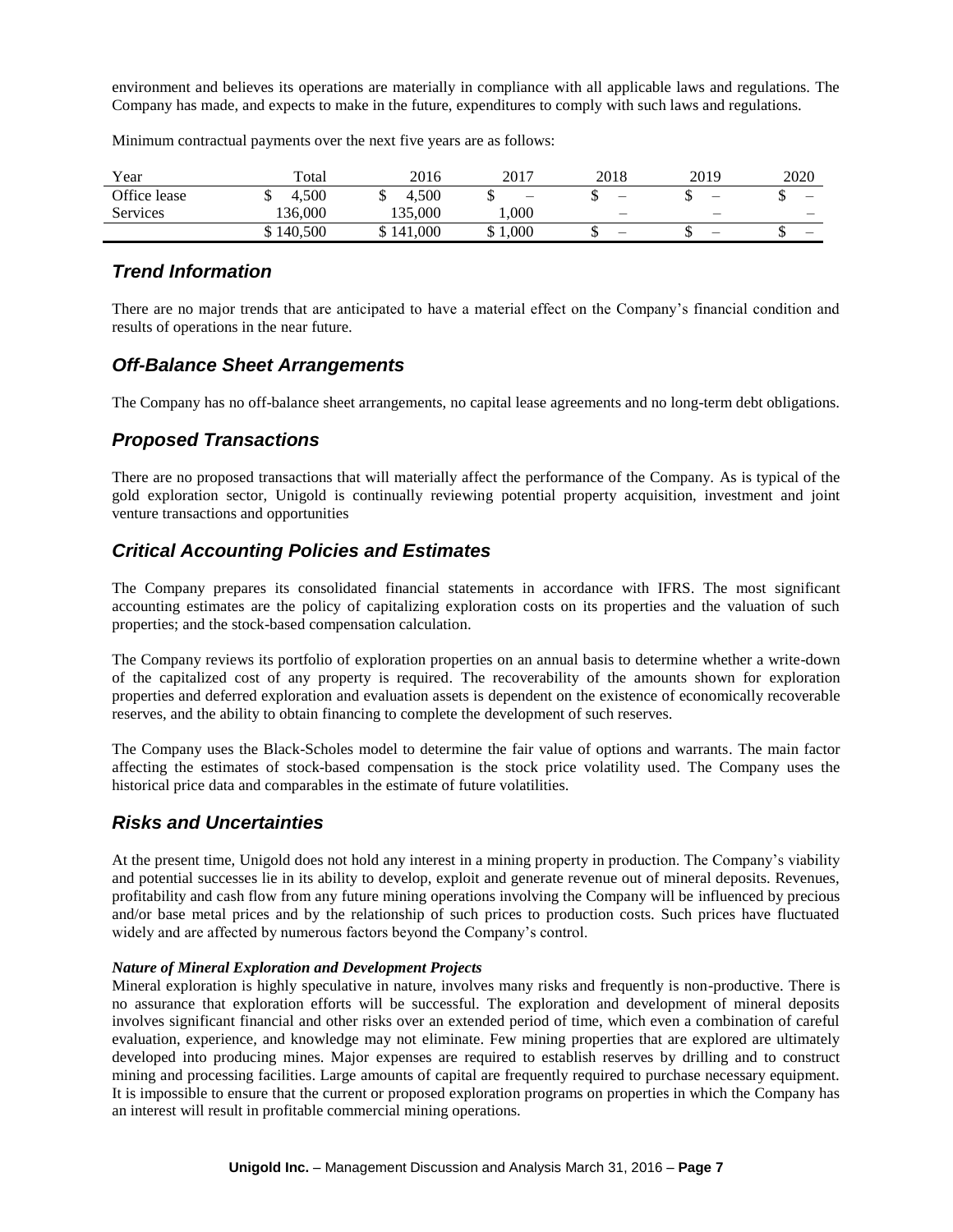environment and believes its operations are materially in compliance with all applicable laws and regulations. The Company has made, and expects to make in the future, expenditures to comply with such laws and regulations.

Minimum contractual payments over the next five years are as follows:

| Year         | Total     | 2016      | 2017       | 2018                     | 2019                     | 2020   |
|--------------|-----------|-----------|------------|--------------------------|--------------------------|--------|
| Office lease | 4.500     | 4.500     | ιIJ        |                          | $\overline{\phantom{0}}$ | –<br>Ψ |
| Services     | 136.000   | 135.000   | $000$ .    | $\overline{\phantom{0}}$ | -                        | -      |
|              | \$140,500 | \$141,000 | 000,1<br>◡ |                          | $\overline{\phantom{0}}$ | –<br>◡ |

### *Trend Information*

There are no major trends that are anticipated to have a material effect on the Company's financial condition and results of operations in the near future.

### *Off-Balance Sheet Arrangements*

The Company has no off-balance sheet arrangements, no capital lease agreements and no long-term debt obligations.

# *Proposed Transactions*

There are no proposed transactions that will materially affect the performance of the Company. As is typical of the gold exploration sector, Unigold is continually reviewing potential property acquisition, investment and joint venture transactions and opportunities

# *Critical Accounting Policies and Estimates*

The Company prepares its consolidated financial statements in accordance with IFRS. The most significant accounting estimates are the policy of capitalizing exploration costs on its properties and the valuation of such properties; and the stock-based compensation calculation.

The Company reviews its portfolio of exploration properties on an annual basis to determine whether a write-down of the capitalized cost of any property is required. The recoverability of the amounts shown for exploration properties and deferred exploration and evaluation assets is dependent on the existence of economically recoverable reserves, and the ability to obtain financing to complete the development of such reserves.

The Company uses the Black-Scholes model to determine the fair value of options and warrants. The main factor affecting the estimates of stock-based compensation is the stock price volatility used. The Company uses the historical price data and comparables in the estimate of future volatilities.

### *Risks and Uncertainties*

At the present time, Unigold does not hold any interest in a mining property in production. The Company's viability and potential successes lie in its ability to develop, exploit and generate revenue out of mineral deposits. Revenues, profitability and cash flow from any future mining operations involving the Company will be influenced by precious and/or base metal prices and by the relationship of such prices to production costs. Such prices have fluctuated widely and are affected by numerous factors beyond the Company's control.

### *Nature of Mineral Exploration and Development Projects*

Mineral exploration is highly speculative in nature, involves many risks and frequently is non-productive. There is no assurance that exploration efforts will be successful. The exploration and development of mineral deposits involves significant financial and other risks over an extended period of time, which even a combination of careful evaluation, experience, and knowledge may not eliminate. Few mining properties that are explored are ultimately developed into producing mines. Major expenses are required to establish reserves by drilling and to construct mining and processing facilities. Large amounts of capital are frequently required to purchase necessary equipment. It is impossible to ensure that the current or proposed exploration programs on properties in which the Company has an interest will result in profitable commercial mining operations.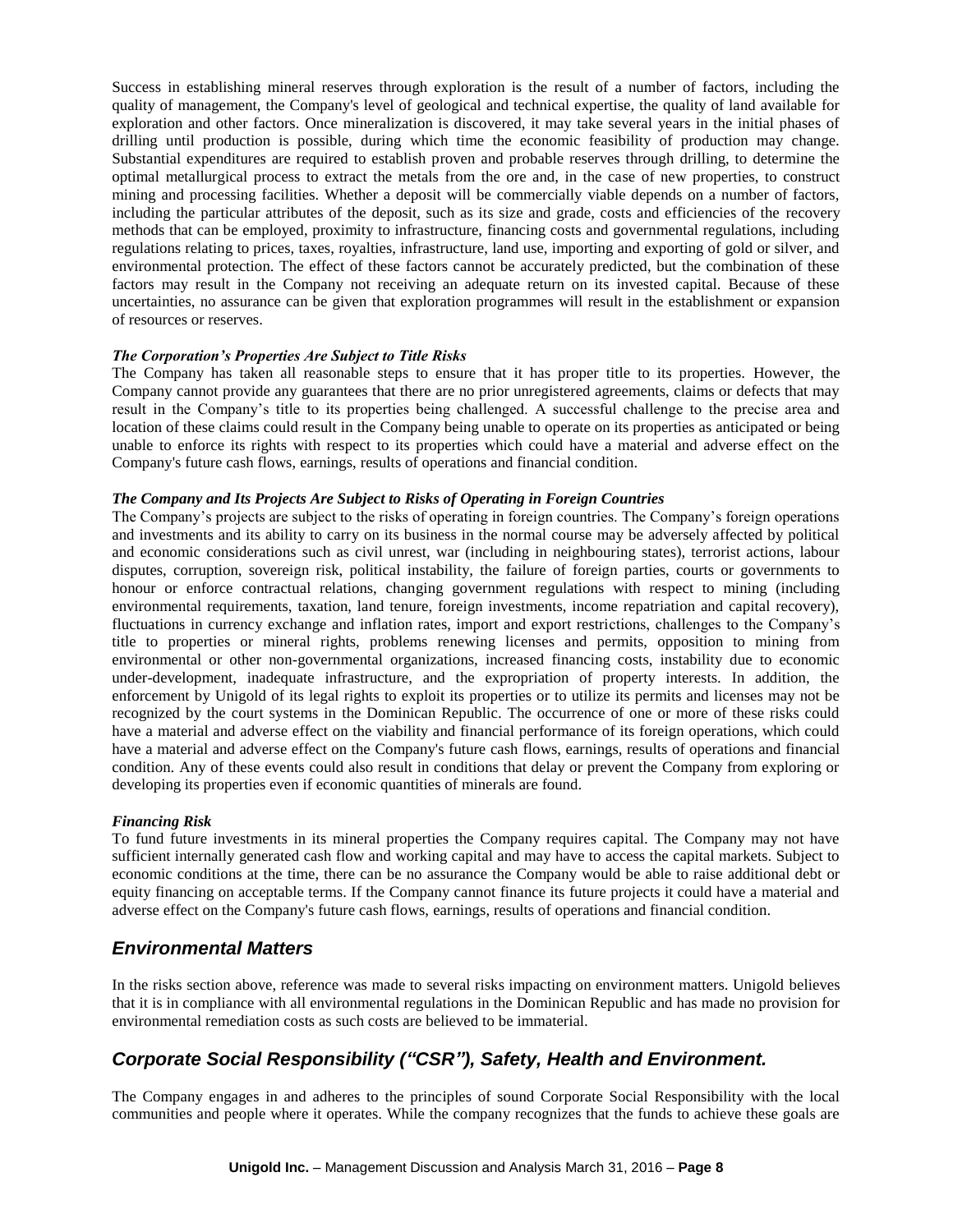Success in establishing mineral reserves through exploration is the result of a number of factors, including the quality of management, the Company's level of geological and technical expertise, the quality of land available for exploration and other factors. Once mineralization is discovered, it may take several years in the initial phases of drilling until production is possible, during which time the economic feasibility of production may change. Substantial expenditures are required to establish proven and probable reserves through drilling, to determine the optimal metallurgical process to extract the metals from the ore and, in the case of new properties, to construct mining and processing facilities. Whether a deposit will be commercially viable depends on a number of factors, including the particular attributes of the deposit, such as its size and grade, costs and efficiencies of the recovery methods that can be employed, proximity to infrastructure, financing costs and governmental regulations, including regulations relating to prices, taxes, royalties, infrastructure, land use, importing and exporting of gold or silver, and environmental protection. The effect of these factors cannot be accurately predicted, but the combination of these factors may result in the Company not receiving an adequate return on its invested capital. Because of these uncertainties, no assurance can be given that exploration programmes will result in the establishment or expansion of resources or reserves.

#### *The Corporation's Properties Are Subject to Title Risks*

The Company has taken all reasonable steps to ensure that it has proper title to its properties. However, the Company cannot provide any guarantees that there are no prior unregistered agreements, claims or defects that may result in the Company's title to its properties being challenged. A successful challenge to the precise area and location of these claims could result in the Company being unable to operate on its properties as anticipated or being unable to enforce its rights with respect to its properties which could have a material and adverse effect on the Company's future cash flows, earnings, results of operations and financial condition.

#### *The Company and Its Projects Are Subject to Risks of Operating in Foreign Countries*

The Company's projects are subject to the risks of operating in foreign countries. The Company's foreign operations and investments and its ability to carry on its business in the normal course may be adversely affected by political and economic considerations such as civil unrest, war (including in neighbouring states), terrorist actions, labour disputes, corruption, sovereign risk, political instability, the failure of foreign parties, courts or governments to honour or enforce contractual relations, changing government regulations with respect to mining (including environmental requirements, taxation, land tenure, foreign investments, income repatriation and capital recovery), fluctuations in currency exchange and inflation rates, import and export restrictions, challenges to the Company's title to properties or mineral rights, problems renewing licenses and permits, opposition to mining from environmental or other non-governmental organizations, increased financing costs, instability due to economic under-development, inadequate infrastructure, and the expropriation of property interests. In addition, the enforcement by Unigold of its legal rights to exploit its properties or to utilize its permits and licenses may not be recognized by the court systems in the Dominican Republic. The occurrence of one or more of these risks could have a material and adverse effect on the viability and financial performance of its foreign operations, which could have a material and adverse effect on the Company's future cash flows, earnings, results of operations and financial condition. Any of these events could also result in conditions that delay or prevent the Company from exploring or developing its properties even if economic quantities of minerals are found.

#### *Financing Risk*

To fund future investments in its mineral properties the Company requires capital. The Company may not have sufficient internally generated cash flow and working capital and may have to access the capital markets. Subject to economic conditions at the time, there can be no assurance the Company would be able to raise additional debt or equity financing on acceptable terms. If the Company cannot finance its future projects it could have a material and adverse effect on the Company's future cash flows, earnings, results of operations and financial condition.

### *Environmental Matters*

In the risks section above, reference was made to several risks impacting on environment matters. Unigold believes that it is in compliance with all environmental regulations in the Dominican Republic and has made no provision for environmental remediation costs as such costs are believed to be immaterial.

# *Corporate Social Responsibility ("CSR"), Safety, Health and Environment.*

The Company engages in and adheres to the principles of sound Corporate Social Responsibility with the local communities and people where it operates. While the company recognizes that the funds to achieve these goals are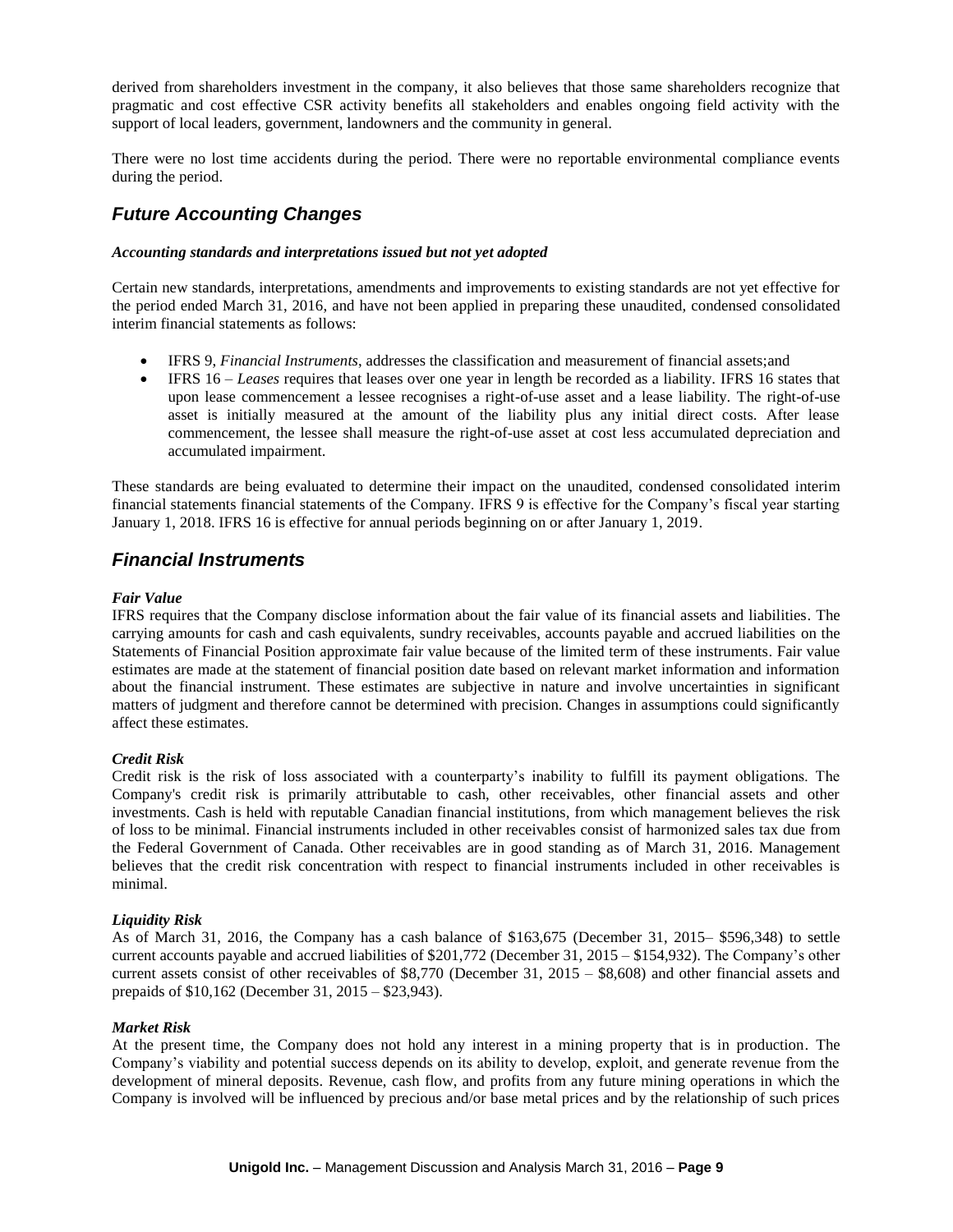derived from shareholders investment in the company, it also believes that those same shareholders recognize that pragmatic and cost effective CSR activity benefits all stakeholders and enables ongoing field activity with the support of local leaders, government, landowners and the community in general.

There were no lost time accidents during the period. There were no reportable environmental compliance events during the period.

# *Future Accounting Changes*

#### *Accounting standards and interpretations issued but not yet adopted*

Certain new standards, interpretations, amendments and improvements to existing standards are not yet effective for the period ended March 31, 2016, and have not been applied in preparing these unaudited, condensed consolidated interim financial statements as follows:

- IFRS 9, *Financial Instruments*, addresses the classification and measurement of financial assets;and
- IFRS 16 *Leases* requires that leases over one year in length be recorded as a liability. IFRS 16 states that upon lease commencement a lessee recognises a right-of-use asset and a lease liability. The right-of-use asset is initially measured at the amount of the liability plus any initial direct costs. After lease commencement, the lessee shall measure the right-of-use asset at cost less accumulated depreciation and accumulated impairment.

These standards are being evaluated to determine their impact on the unaudited, condensed consolidated interim financial statements financial statements of the Company. IFRS 9 is effective for the Company's fiscal year starting January 1, 2018. IFRS 16 is effective for annual periods beginning on or after January 1, 2019.

### *Financial Instruments*

#### *Fair Value*

IFRS requires that the Company disclose information about the fair value of its financial assets and liabilities. The carrying amounts for cash and cash equivalents, sundry receivables, accounts payable and accrued liabilities on the Statements of Financial Position approximate fair value because of the limited term of these instruments. Fair value estimates are made at the statement of financial position date based on relevant market information and information about the financial instrument. These estimates are subjective in nature and involve uncertainties in significant matters of judgment and therefore cannot be determined with precision. Changes in assumptions could significantly affect these estimates.

### *Credit Risk*

Credit risk is the risk of loss associated with a counterparty's inability to fulfill its payment obligations. The Company's credit risk is primarily attributable to cash, other receivables, other financial assets and other investments. Cash is held with reputable Canadian financial institutions, from which management believes the risk of loss to be minimal. Financial instruments included in other receivables consist of harmonized sales tax due from the Federal Government of Canada. Other receivables are in good standing as of March 31, 2016. Management believes that the credit risk concentration with respect to financial instruments included in other receivables is minimal.

### *Liquidity Risk*

As of March 31, 2016, the Company has a cash balance of \$163,675 (December 31, 2015– \$596,348) to settle current accounts payable and accrued liabilities of \$201,772 (December 31, 2015 – \$154,932). The Company's other current assets consist of other receivables of \$8,770 (December 31, 2015 – \$8,608) and other financial assets and prepaids of \$10,162 (December 31, 2015 – \$23,943).

#### *Market Risk*

At the present time, the Company does not hold any interest in a mining property that is in production. The Company's viability and potential success depends on its ability to develop, exploit, and generate revenue from the development of mineral deposits. Revenue, cash flow, and profits from any future mining operations in which the Company is involved will be influenced by precious and/or base metal prices and by the relationship of such prices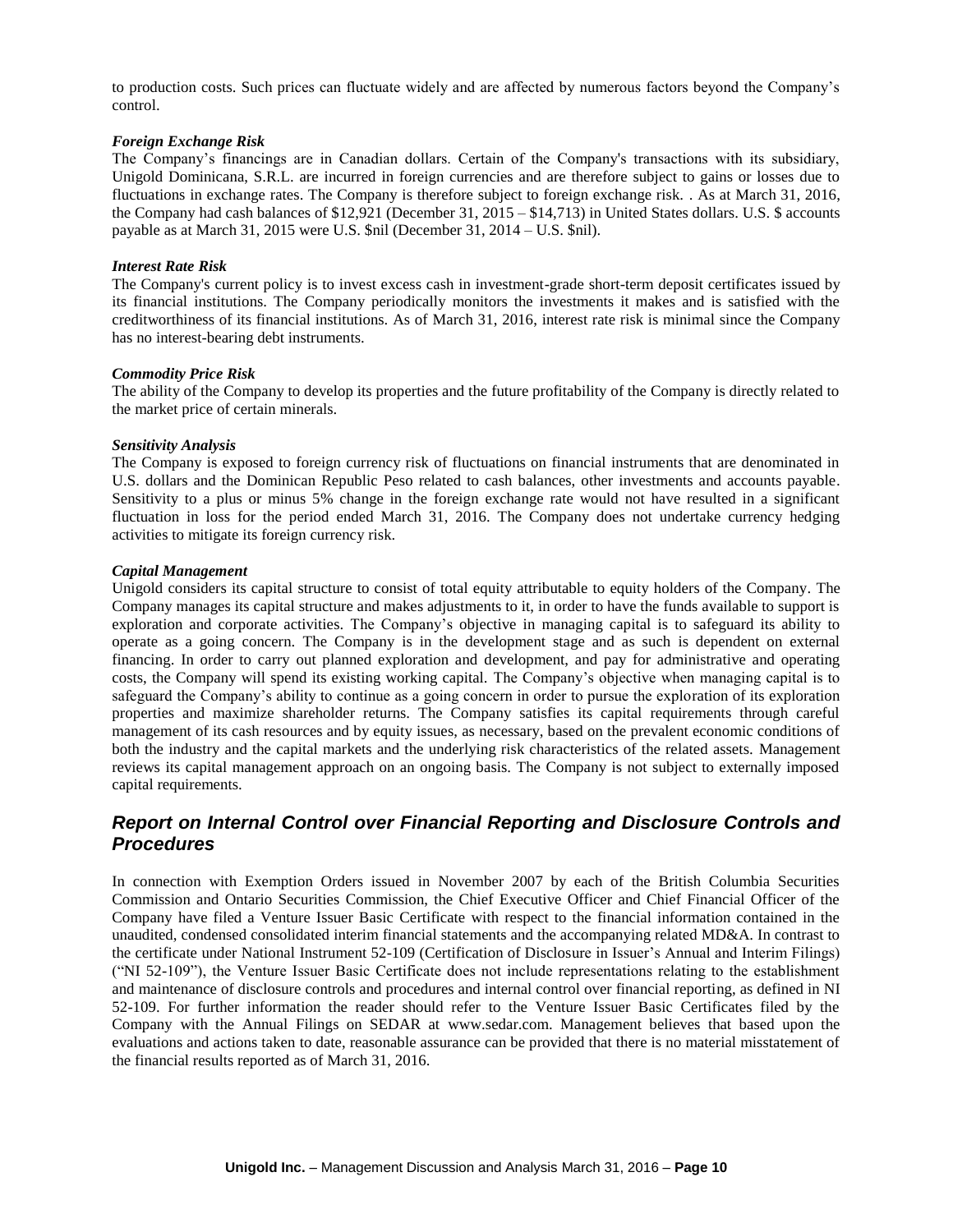to production costs. Such prices can fluctuate widely and are affected by numerous factors beyond the Company's control.

#### *Foreign Exchange Risk*

The Company's financings are in Canadian dollars. Certain of the Company's transactions with its subsidiary, Unigold Dominicana, S.R.L. are incurred in foreign currencies and are therefore subject to gains or losses due to fluctuations in exchange rates. The Company is therefore subject to foreign exchange risk. . As at March 31, 2016, the Company had cash balances of \$12,921 (December 31, 2015 – \$14,713) in United States dollars. U.S. \$ accounts payable as at March 31, 2015 were U.S. \$nil (December 31, 2014 – U.S. \$nil).

#### *Interest Rate Risk*

The Company's current policy is to invest excess cash in investment-grade short-term deposit certificates issued by its financial institutions. The Company periodically monitors the investments it makes and is satisfied with the creditworthiness of its financial institutions. As of March 31, 2016, interest rate risk is minimal since the Company has no interest-bearing debt instruments.

#### *Commodity Price Risk*

The ability of the Company to develop its properties and the future profitability of the Company is directly related to the market price of certain minerals.

#### *Sensitivity Analysis*

The Company is exposed to foreign currency risk of fluctuations on financial instruments that are denominated in U.S. dollars and the Dominican Republic Peso related to cash balances, other investments and accounts payable. Sensitivity to a plus or minus 5% change in the foreign exchange rate would not have resulted in a significant fluctuation in loss for the period ended March 31, 2016. The Company does not undertake currency hedging activities to mitigate its foreign currency risk.

#### *Capital Management*

Unigold considers its capital structure to consist of total equity attributable to equity holders of the Company. The Company manages its capital structure and makes adjustments to it, in order to have the funds available to support is exploration and corporate activities. The Company's objective in managing capital is to safeguard its ability to operate as a going concern. The Company is in the development stage and as such is dependent on external financing. In order to carry out planned exploration and development, and pay for administrative and operating costs, the Company will spend its existing working capital. The Company's objective when managing capital is to safeguard the Company's ability to continue as a going concern in order to pursue the exploration of its exploration properties and maximize shareholder returns. The Company satisfies its capital requirements through careful management of its cash resources and by equity issues, as necessary, based on the prevalent economic conditions of both the industry and the capital markets and the underlying risk characteristics of the related assets. Management reviews its capital management approach on an ongoing basis. The Company is not subject to externally imposed capital requirements.

# *Report on Internal Control over Financial Reporting and Disclosure Controls and Procedures*

In connection with Exemption Orders issued in November 2007 by each of the British Columbia Securities Commission and Ontario Securities Commission, the Chief Executive Officer and Chief Financial Officer of the Company have filed a Venture Issuer Basic Certificate with respect to the financial information contained in the unaudited, condensed consolidated interim financial statements and the accompanying related MD&A. In contrast to the certificate under National Instrument 52-109 (Certification of Disclosure in Issuer's Annual and Interim Filings) ("NI 52-109"), the Venture Issuer Basic Certificate does not include representations relating to the establishment and maintenance of disclosure controls and procedures and internal control over financial reporting, as defined in NI 52-109. For further information the reader should refer to the Venture Issuer Basic Certificates filed by the Company with the Annual Filings on SEDAR at www.sedar.com. Management believes that based upon the evaluations and actions taken to date, reasonable assurance can be provided that there is no material misstatement of the financial results reported as of March 31, 2016.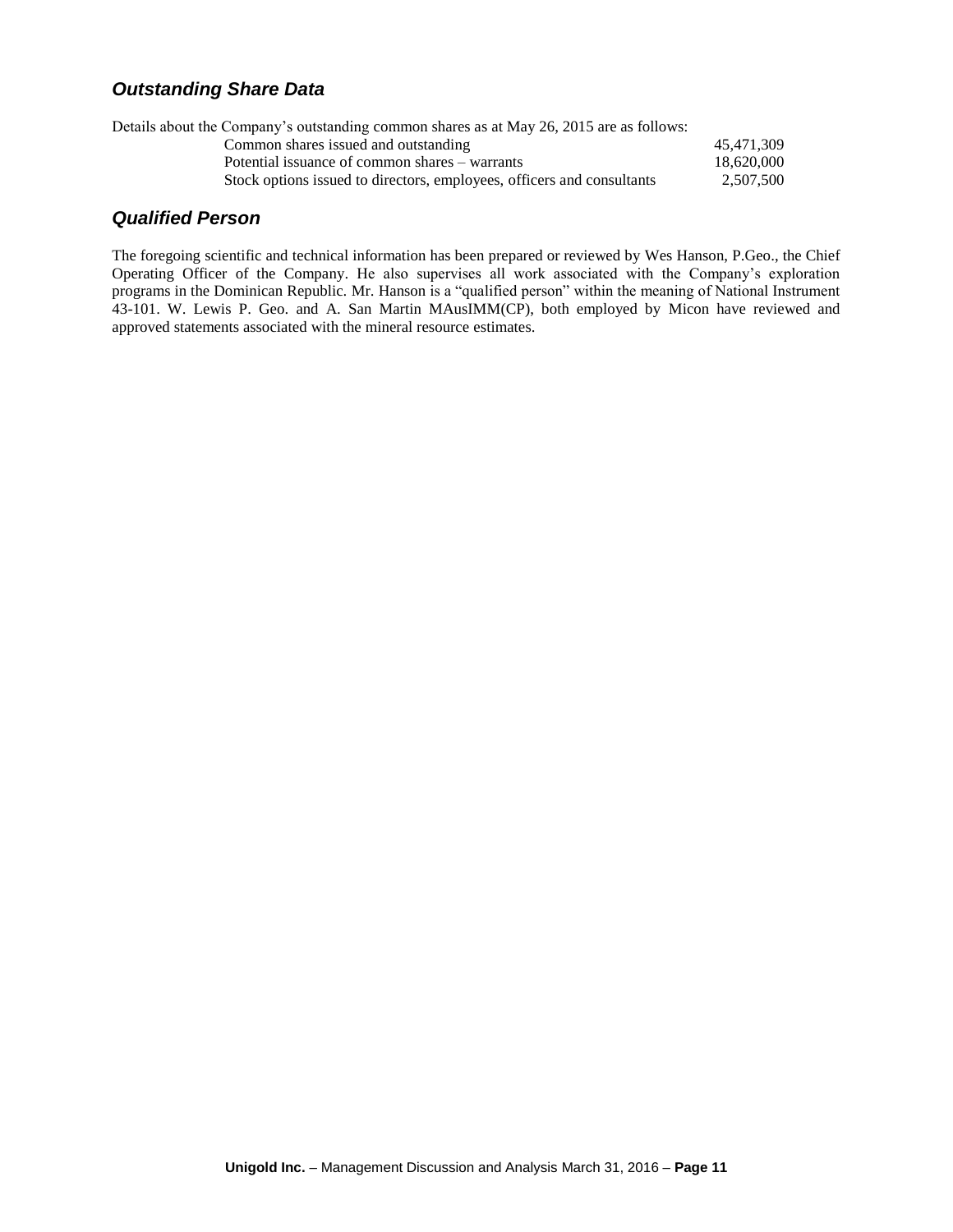# *Outstanding Share Data*

| Details about the Company's outstanding common shares as at May 26, 2015 are as follows: |            |
|------------------------------------------------------------------------------------------|------------|
| Common shares issued and outstanding                                                     | 45.471.309 |
| Potential issuance of common shares – warrants                                           | 18,620,000 |
| Stock options issued to directors, employees, officers and consultants                   | 2.507.500  |
|                                                                                          |            |

# *Qualified Person*

The foregoing scientific and technical information has been prepared or reviewed by Wes Hanson, P.Geo., the Chief Operating Officer of the Company. He also supervises all work associated with the Company's exploration programs in the Dominican Republic. Mr. Hanson is a "qualified person" within the meaning of National Instrument 43-101. W. Lewis P. Geo. and A. San Martin MAusIMM(CP), both employed by Micon have reviewed and approved statements associated with the mineral resource estimates.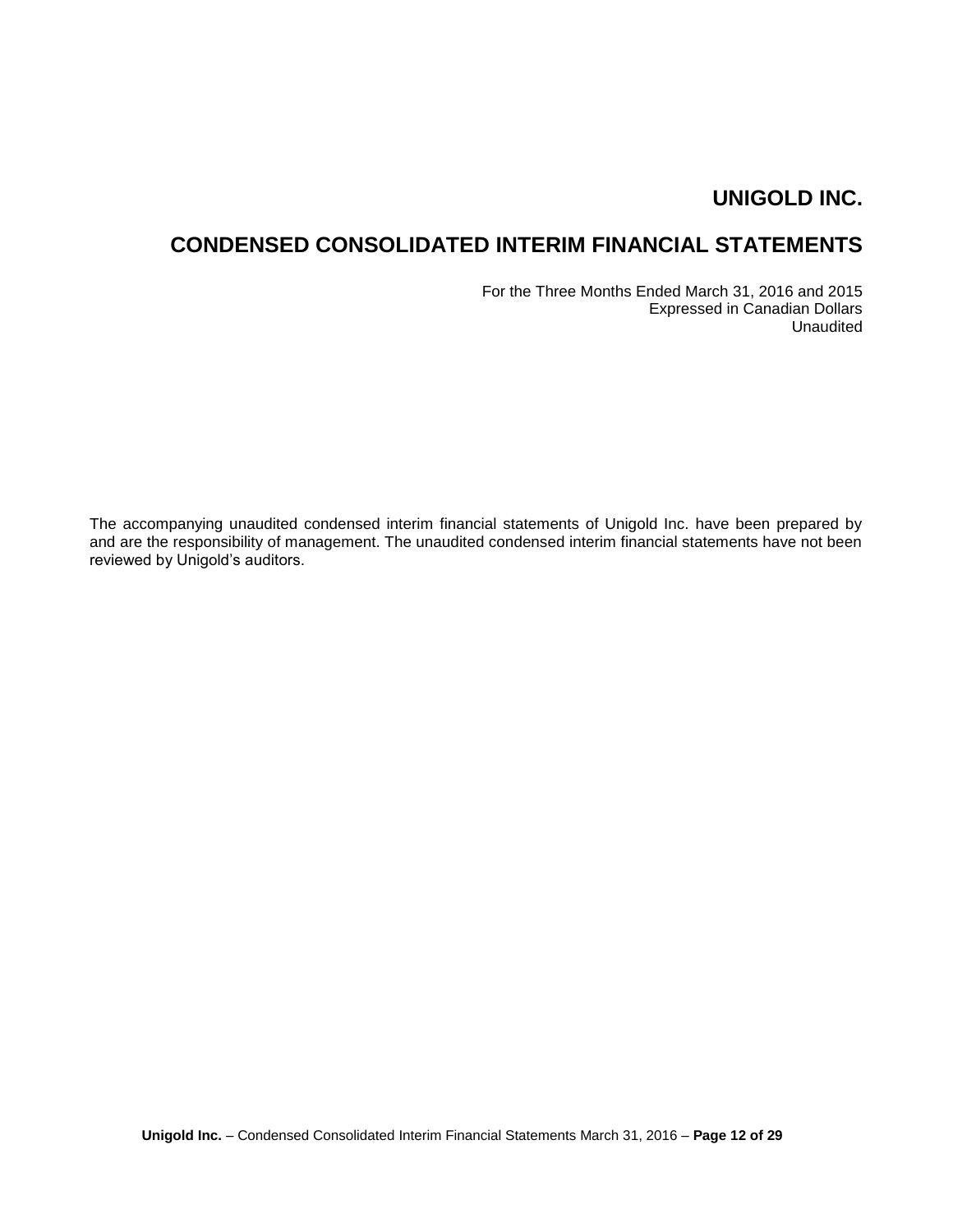# **CONDENSED CONSOLIDATED INTERIM FINANCIAL STATEMENTS**

For the Three Months Ended March 31, 2016 and 2015 Expressed in Canadian Dollars Unaudited

The accompanying unaudited condensed interim financial statements of Unigold Inc. have been prepared by and are the responsibility of management. The unaudited condensed interim financial statements have not been reviewed by Unigold's auditors.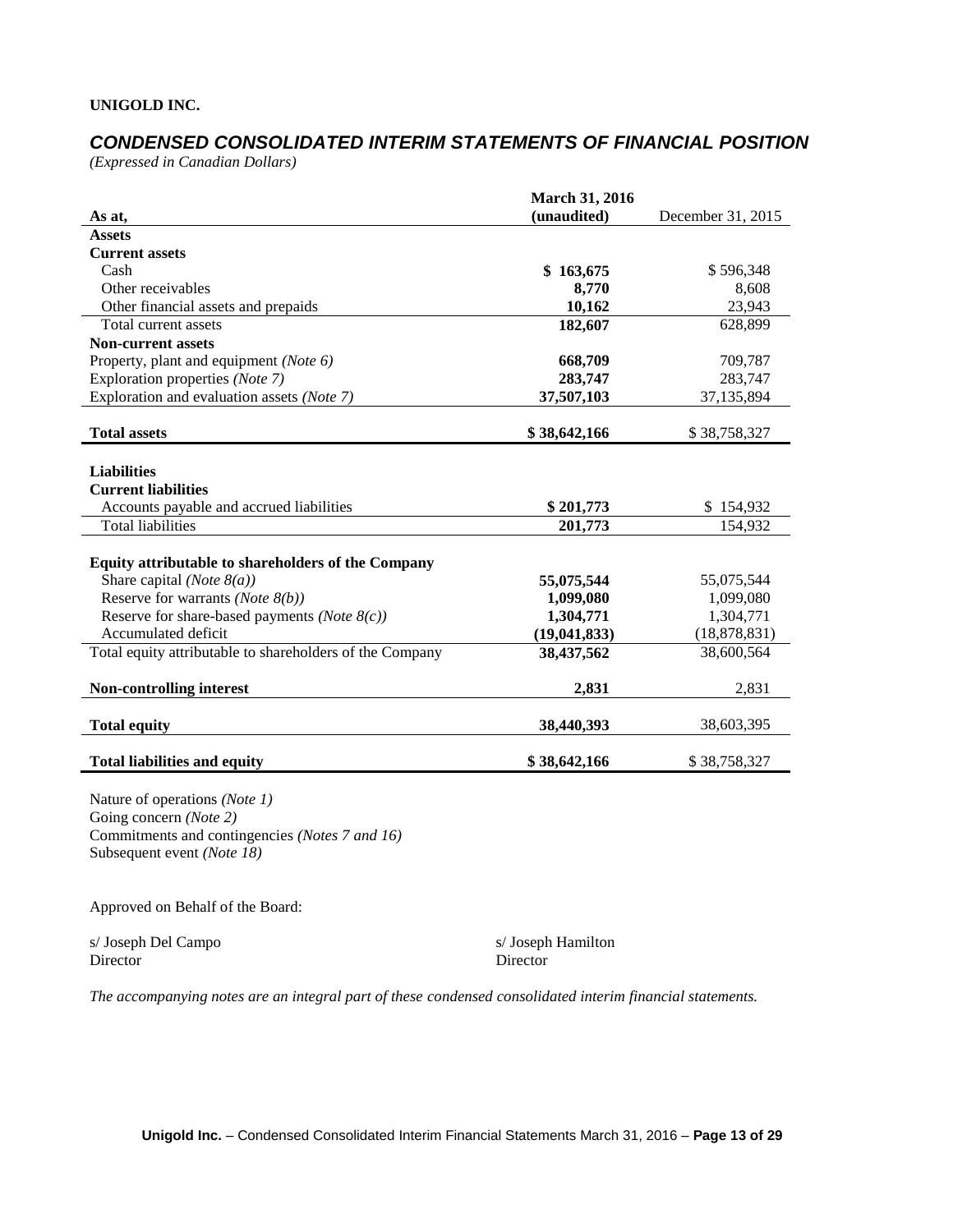# *CONDENSED CONSOLIDATED INTERIM STATEMENTS OF FINANCIAL POSITION*

*(Expressed in Canadian Dollars)*

|                                                          | <b>March 31, 2016</b> |                   |
|----------------------------------------------------------|-----------------------|-------------------|
| As at,                                                   | (unaudited)           | December 31, 2015 |
| <b>Assets</b>                                            |                       |                   |
| <b>Current assets</b>                                    |                       |                   |
| Cash                                                     | \$163,675             | \$596,348         |
| Other receivables                                        | 8,770                 | 8,608             |
| Other financial assets and prepaids                      | 10,162                | 23,943            |
| Total current assets                                     | 182,607               | 628,899           |
| <b>Non-current assets</b>                                |                       |                   |
| Property, plant and equipment (Note 6)                   | 668,709               | 709,787           |
| Exploration properties (Note 7)                          | 283,747               | 283,747           |
| Exploration and evaluation assets (Note 7)               | 37,507,103            | 37,135,894        |
|                                                          |                       |                   |
| <b>Total assets</b>                                      | \$38,642,166          | \$38,758,327      |
|                                                          |                       |                   |
| <b>Liabilities</b>                                       |                       |                   |
| <b>Current liabilities</b>                               |                       |                   |
| Accounts payable and accrued liabilities                 | \$201,773             | \$154,932         |
| <b>Total liabilities</b>                                 | 201,773               | 154,932           |
|                                                          |                       |                   |
| Equity attributable to shareholders of the Company       |                       |                   |
| Share capital ( <i>Note</i> $8(a)$ )                     | 55,075,544            | 55,075,544        |
| Reserve for warrants (Note $8(b)$ )                      | 1,099,080             | 1,099,080         |
| Reserve for share-based payments (Note $8(c)$ )          | 1,304,771             | 1,304,771         |
| Accumulated deficit                                      | (19, 041, 833)        | (18, 878, 831)    |
| Total equity attributable to shareholders of the Company | 38,437,562            | 38,600,564        |
|                                                          |                       |                   |
| Non-controlling interest                                 | 2,831                 | 2,831             |
|                                                          |                       |                   |
| <b>Total equity</b>                                      | 38,440,393            | 38,603,395        |
|                                                          |                       |                   |
| <b>Total liabilities and equity</b>                      | \$38,642,166          | \$38,758,327      |

Nature of operations *(Note 1)* Going concern *(Note 2)* Commitments and contingencies *(Notes 7 and 16)* Subsequent event *(Note 18)*

Approved on Behalf of the Board:

s/ Joseph Del Campo s/ Joseph Hamilton Director Director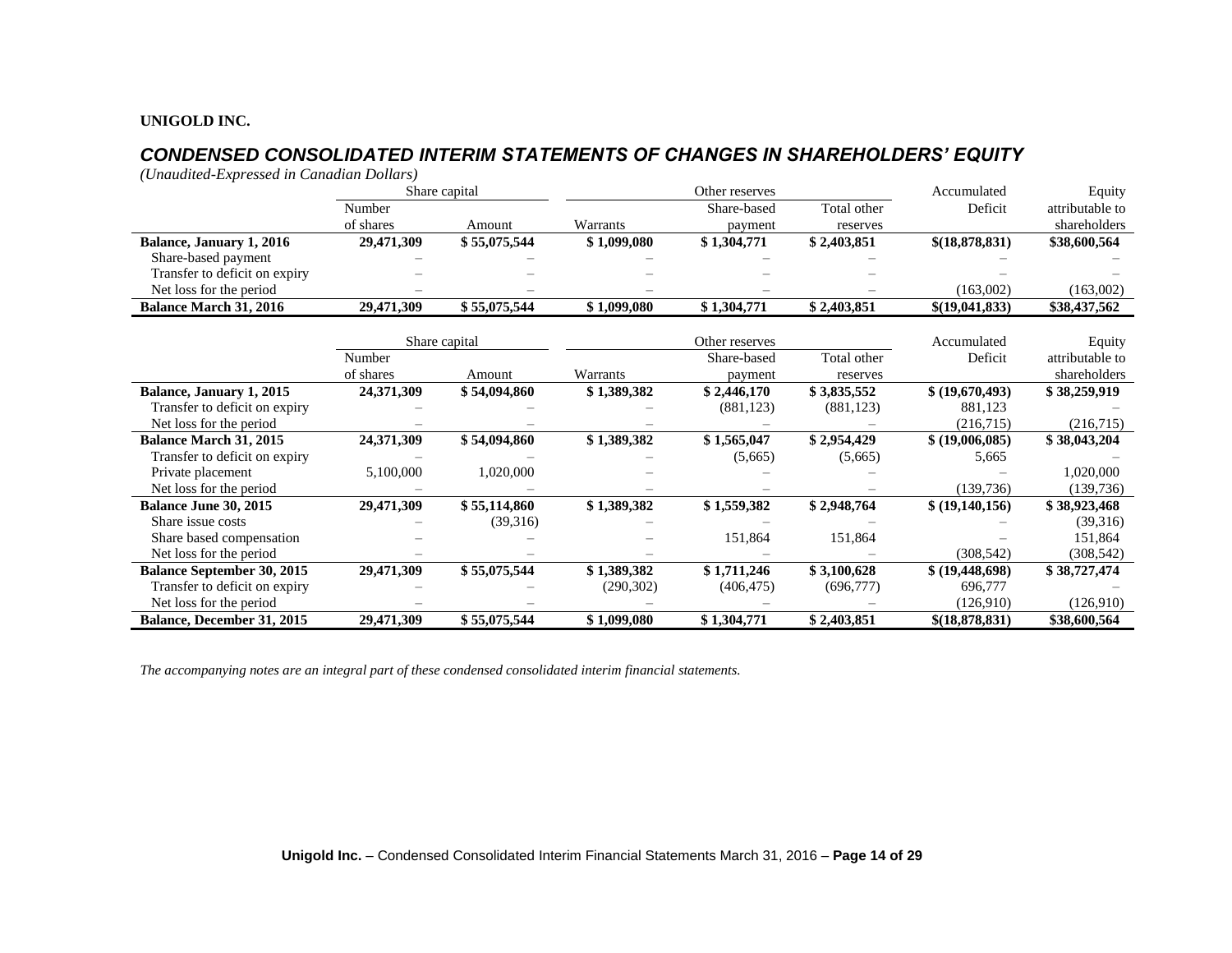# *CONDENSED CONSOLIDATED INTERIM STATEMENTS OF CHANGES IN SHAREHOLDERS' EQUITY*

*(Unaudited-Expressed in Canadian Dollars)*

|                                   |            | Share capital | Other reserves |                |             | Accumulated       | Equity          |
|-----------------------------------|------------|---------------|----------------|----------------|-------------|-------------------|-----------------|
|                                   | Number     |               |                | Share-based    | Total other | Deficit           | attributable to |
|                                   | of shares  | Amount        | Warrants       | payment        | reserves    |                   | shareholders    |
| Balance, January 1, 2016          | 29,471,309 | \$55,075,544  | \$1,099,080    | \$1,304,771    | \$2,403,851 | \$(18,878,831)    | \$38,600,564    |
| Share-based payment               |            |               |                |                |             |                   |                 |
| Transfer to deficit on expiry     |            |               |                |                |             |                   |                 |
| Net loss for the period           |            |               |                |                |             | (163,002)         | (163,002)       |
| <b>Balance March 31, 2016</b>     | 29,471,309 | \$55,075,544  | \$1,099,080    | \$1,304,771    | \$2,403,851 | \$(19,041,833)    | \$38,437,562    |
|                                   |            |               |                |                |             |                   |                 |
|                                   |            | Share capital |                | Other reserves |             | Accumulated       | Equity          |
|                                   | Number     |               |                | Share-based    | Total other | Deficit           | attributable to |
|                                   | of shares  | Amount        | Warrants       | payment        | reserves    |                   | shareholders    |
| Balance, January 1, 2015          | 24,371,309 | \$54,094,860  | \$1,389,382    | \$2,446,170    | \$3,835,552 | \$ (19,670,493)   | \$38,259,919    |
| Transfer to deficit on expiry     |            |               |                | (881, 123)     | (881, 123)  | 881,123           |                 |
| Net loss for the period           |            |               |                |                |             | (216,715)         | (216,715)       |
| <b>Balance March 31, 2015</b>     | 24,371,309 | \$54,094,860  | \$1,389,382    | \$1,565,047    | \$2,954,429 | \$ (19,006,085)   | \$38,043,204    |
| Transfer to deficit on expiry     |            |               |                | (5,665)        | (5,665)     | 5,665             |                 |
| Private placement                 | 5,100,000  | 1,020,000     |                |                |             |                   | 1,020,000       |
| Net loss for the period           |            |               |                |                |             | (139, 736)        | (139, 736)      |
| Balance June 30, 2015             | 29,471,309 | \$55,114,860  | \$1,389,382    | \$1,559,382    | \$2,948,764 | \$ (19,140,156)   | \$38,923,468    |
| Share issue costs                 |            | (39,316)      |                |                |             |                   | (39,316)        |
| Share based compensation          |            |               |                | 151,864        | 151,864     |                   | 151,864         |
| Net loss for the period           |            |               |                |                |             | (308, 542)        | (308, 542)      |
| <b>Balance September 30, 2015</b> | 29,471,309 | \$55,075,544  | \$1,389,382    | \$1,711,246    | \$3,100,628 | \$ (19, 448, 698) | \$38,727,474    |
| Transfer to deficit on expiry     |            |               | (290, 302)     | (406, 475)     | (696, 777)  | 696,777           |                 |
| Net loss for the period           |            |               |                |                |             | (126,910)         | (126,910)       |
| Balance, December 31, 2015        | 29,471,309 | \$55,075,544  | \$1,099,080    | \$1,304,771    | \$2,403,851 | \$(18,878,831)    | \$38,600,564    |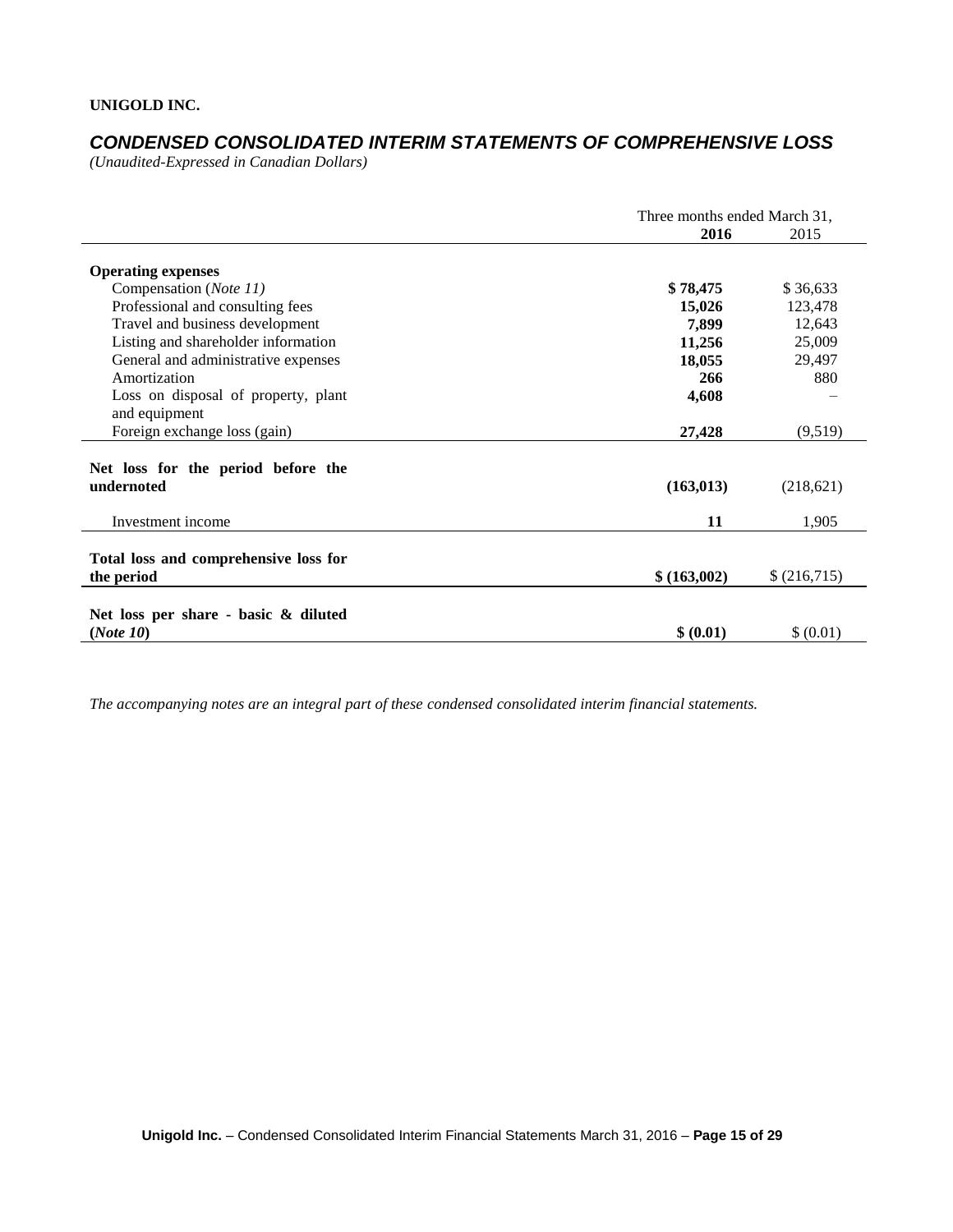# *CONDENSED CONSOLIDATED INTERIM STATEMENTS OF COMPREHENSIVE LOSS*

*(Unaudited-Expressed in Canadian Dollars)* 

|                                                   | Three months ended March 31, |             |
|---------------------------------------------------|------------------------------|-------------|
|                                                   | 2016                         | 2015        |
| <b>Operating expenses</b>                         |                              |             |
| Compensation (Note 11)                            | \$78,475                     | \$36,633    |
| Professional and consulting fees                  | 15,026                       | 123,478     |
| Travel and business development                   | 7,899                        | 12,643      |
| Listing and shareholder information               | 11,256                       | 25,009      |
| General and administrative expenses               | 18,055                       | 29,497      |
| Amortization                                      | 266                          | 880         |
| Loss on disposal of property, plant               | 4,608                        |             |
| and equipment                                     |                              |             |
| Foreign exchange loss (gain)                      | 27,428                       | (9,519)     |
| Net loss for the period before the                |                              |             |
| undernoted                                        | (163, 013)                   | (218,621)   |
| Investment income                                 | 11                           | 1,905       |
| Total loss and comprehensive loss for             |                              |             |
| the period                                        | \$ (163,002)                 | \$(216,715) |
|                                                   |                              |             |
| Net loss per share - basic & diluted<br>(Note 10) | \$ (0.01)                    | \$ (0.01)   |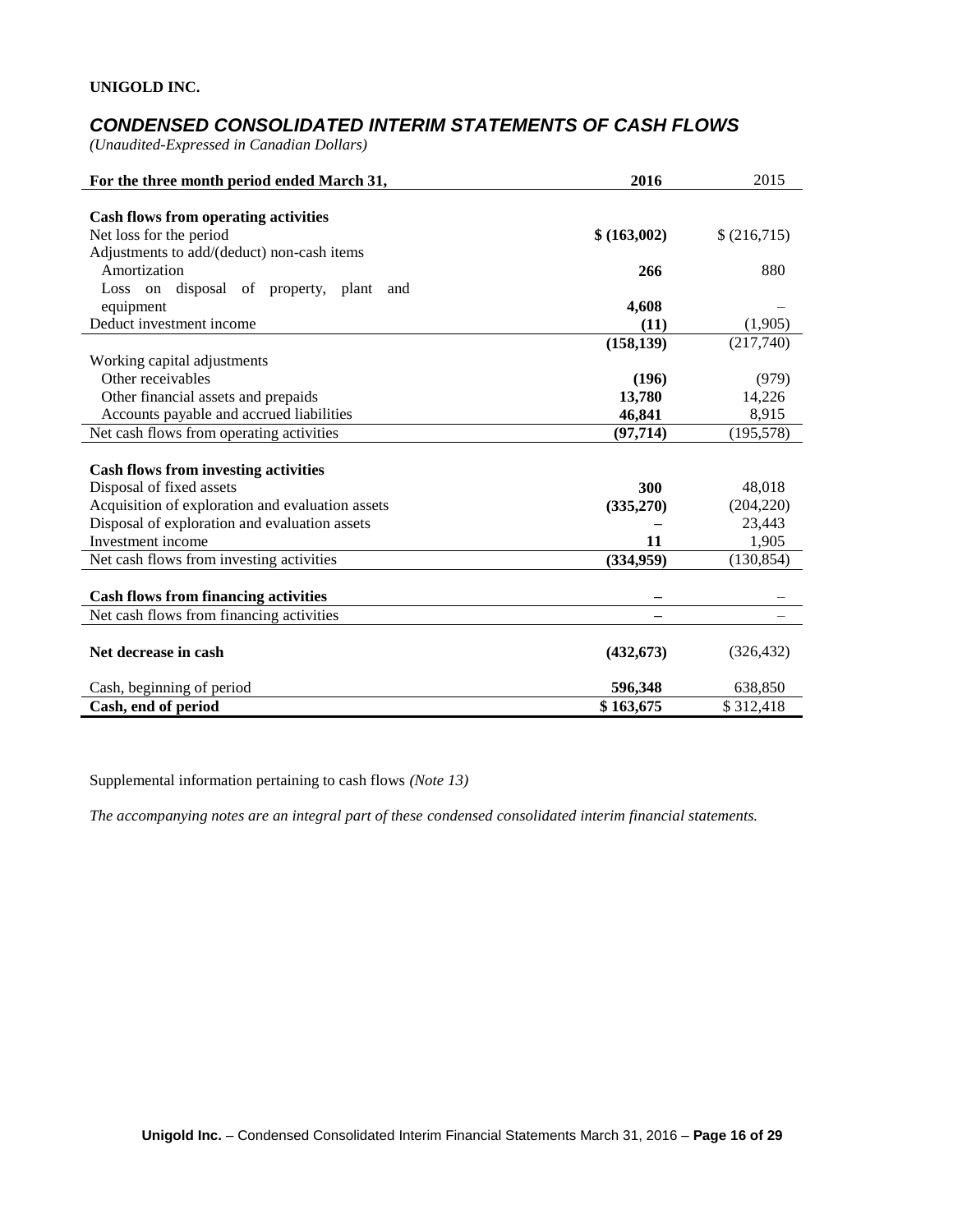# *CONDENSED CONSOLIDATED INTERIM STATEMENTS OF CASH FLOWS*

*(Unaudited-Expressed in Canadian Dollars)* 

| For the three month period ended March 31,       | 2016         | 2015        |
|--------------------------------------------------|--------------|-------------|
|                                                  |              |             |
| <b>Cash flows from operating activities</b>      |              |             |
| Net loss for the period                          | \$ (163,002) | \$(216,715) |
| Adjustments to add/(deduct) non-cash items       |              |             |
| Amortization                                     | 266          | 880         |
| Loss on disposal of property, plant<br>and       |              |             |
| equipment                                        | 4,608        |             |
| Deduct investment income                         | (11)         | (1,905)     |
|                                                  | (158, 139)   | (217,740)   |
| Working capital adjustments                      |              |             |
| Other receivables                                | (196)        | (979)       |
| Other financial assets and prepaids              | 13,780       | 14,226      |
| Accounts payable and accrued liabilities         | 46,841       | 8,915       |
| Net cash flows from operating activities         | (97, 714)    | (195, 578)  |
|                                                  |              |             |
| <b>Cash flows from investing activities</b>      |              |             |
| Disposal of fixed assets                         | 300          | 48,018      |
| Acquisition of exploration and evaluation assets | (335,270)    | (204, 220)  |
| Disposal of exploration and evaluation assets    |              | 23,443      |
| Investment income                                | 11           | 1,905       |
| Net cash flows from investing activities         | (334, 959)   | (130, 854)  |
|                                                  |              |             |
| <b>Cash flows from financing activities</b>      |              |             |
| Net cash flows from financing activities         |              |             |
|                                                  |              |             |
| Net decrease in cash                             | (432, 673)   | (326, 432)  |
| Cash, beginning of period                        | 596,348      | 638,850     |
| Cash, end of period                              | \$163,675    | \$312,418   |

Supplemental information pertaining to cash flows *(Note 13)*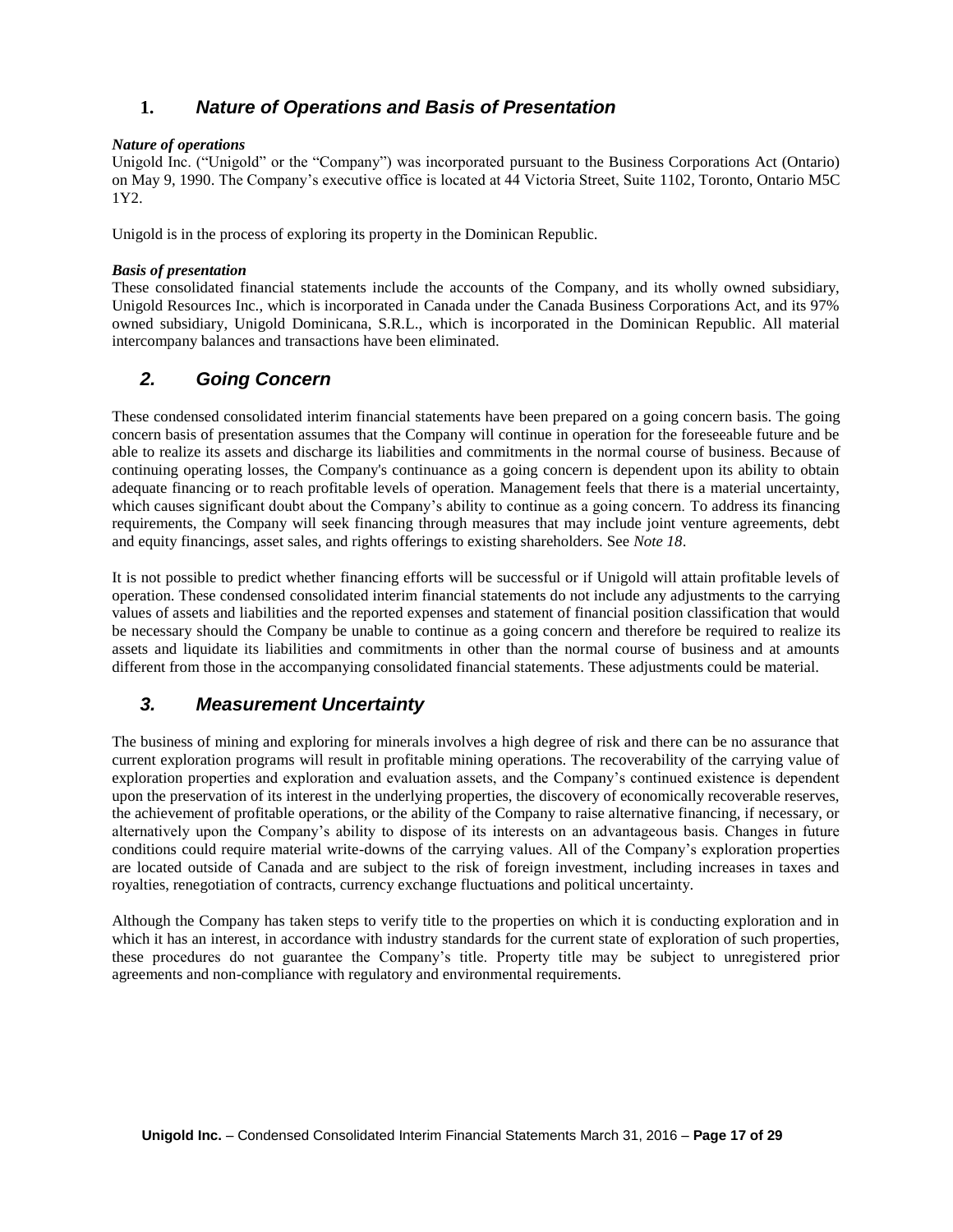# **1.** *Nature of Operations and Basis of Presentation*

### *Nature of operations*

Unigold Inc. ("Unigold" or the "Company") was incorporated pursuant to the Business Corporations Act (Ontario) on May 9, 1990. The Company's executive office is located at 44 Victoria Street, Suite 1102, Toronto, Ontario M5C 1Y2.

Unigold is in the process of exploring its property in the Dominican Republic.

#### *Basis of presentation*

These consolidated financial statements include the accounts of the Company, and its wholly owned subsidiary, Unigold Resources Inc., which is incorporated in Canada under the Canada Business Corporations Act, and its 97% owned subsidiary, Unigold Dominicana, S.R.L., which is incorporated in the Dominican Republic. All material intercompany balances and transactions have been eliminated.

# *2. Going Concern*

These condensed consolidated interim financial statements have been prepared on a going concern basis. The going concern basis of presentation assumes that the Company will continue in operation for the foreseeable future and be able to realize its assets and discharge its liabilities and commitments in the normal course of business. Because of continuing operating losses, the Company's continuance as a going concern is dependent upon its ability to obtain adequate financing or to reach profitable levels of operation. Management feels that there is a material uncertainty, which causes significant doubt about the Company's ability to continue as a going concern. To address its financing requirements, the Company will seek financing through measures that may include joint venture agreements, debt and equity financings, asset sales, and rights offerings to existing shareholders. See *Note 18*.

It is not possible to predict whether financing efforts will be successful or if Unigold will attain profitable levels of operation. These condensed consolidated interim financial statements do not include any adjustments to the carrying values of assets and liabilities and the reported expenses and statement of financial position classification that would be necessary should the Company be unable to continue as a going concern and therefore be required to realize its assets and liquidate its liabilities and commitments in other than the normal course of business and at amounts different from those in the accompanying consolidated financial statements. These adjustments could be material.

# *3. Measurement Uncertainty*

The business of mining and exploring for minerals involves a high degree of risk and there can be no assurance that current exploration programs will result in profitable mining operations. The recoverability of the carrying value of exploration properties and exploration and evaluation assets, and the Company's continued existence is dependent upon the preservation of its interest in the underlying properties, the discovery of economically recoverable reserves, the achievement of profitable operations, or the ability of the Company to raise alternative financing, if necessary, or alternatively upon the Company's ability to dispose of its interests on an advantageous basis. Changes in future conditions could require material write-downs of the carrying values. All of the Company's exploration properties are located outside of Canada and are subject to the risk of foreign investment, including increases in taxes and royalties, renegotiation of contracts, currency exchange fluctuations and political uncertainty.

Although the Company has taken steps to verify title to the properties on which it is conducting exploration and in which it has an interest, in accordance with industry standards for the current state of exploration of such properties, these procedures do not guarantee the Company's title. Property title may be subject to unregistered prior agreements and non-compliance with regulatory and environmental requirements.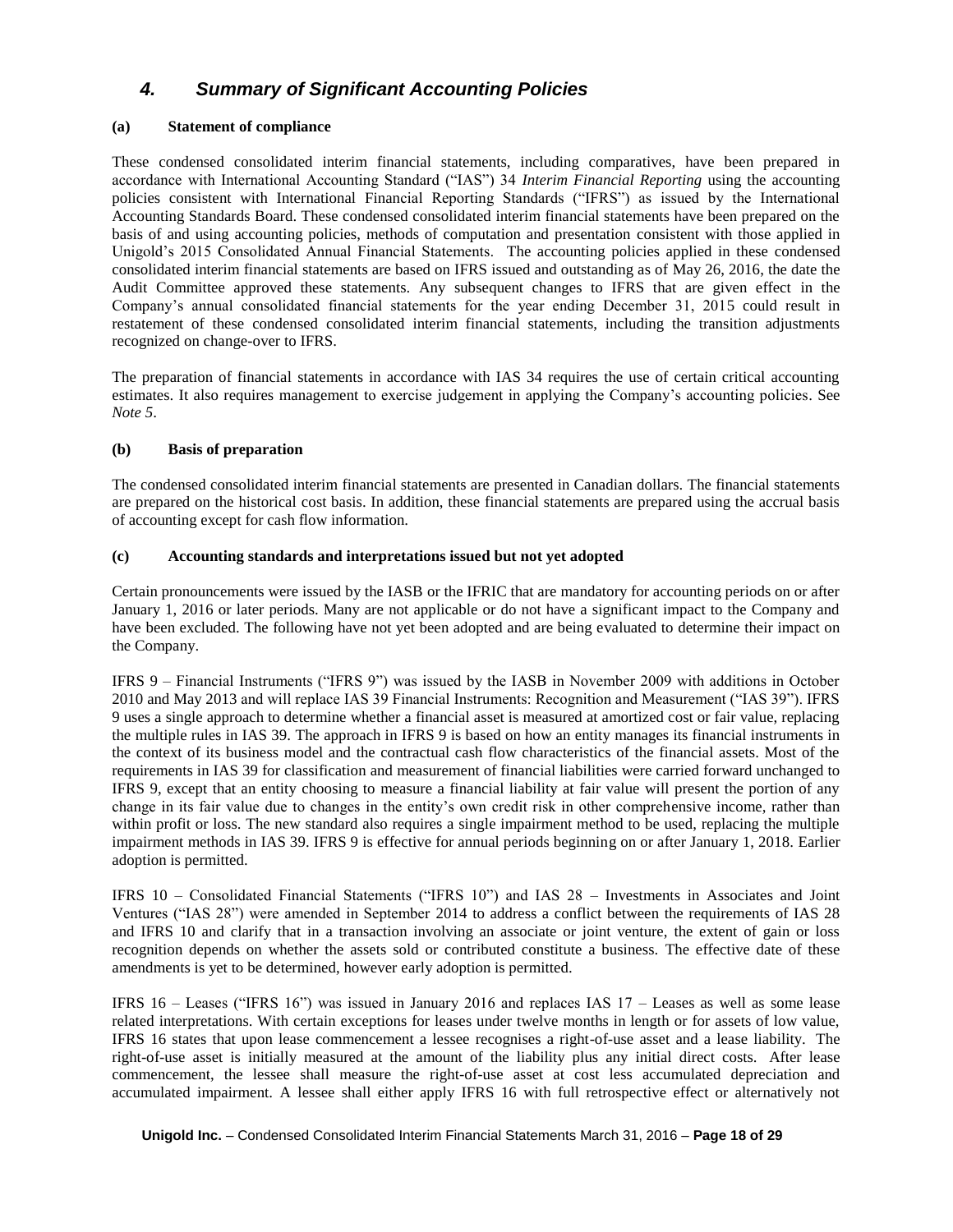# *4. Summary of Significant Accounting Policies*

#### **(a) Statement of compliance**

These condensed consolidated interim financial statements, including comparatives, have been prepared in accordance with International Accounting Standard ("IAS") 34 *Interim Financial Reporting* using the accounting policies consistent with International Financial Reporting Standards ("IFRS") as issued by the International Accounting Standards Board. These condensed consolidated interim financial statements have been prepared on the basis of and using accounting policies, methods of computation and presentation consistent with those applied in Unigold's 2015 Consolidated Annual Financial Statements. The accounting policies applied in these condensed consolidated interim financial statements are based on IFRS issued and outstanding as of May 26, 2016, the date the Audit Committee approved these statements. Any subsequent changes to IFRS that are given effect in the Company's annual consolidated financial statements for the year ending December 31, 2015 could result in restatement of these condensed consolidated interim financial statements, including the transition adjustments recognized on change-over to IFRS.

The preparation of financial statements in accordance with IAS 34 requires the use of certain critical accounting estimates. It also requires management to exercise judgement in applying the Company's accounting policies. See *Note 5*.

#### **(b) Basis of preparation**

The condensed consolidated interim financial statements are presented in Canadian dollars. The financial statements are prepared on the historical cost basis. In addition, these financial statements are prepared using the accrual basis of accounting except for cash flow information.

#### **(c) Accounting standards and interpretations issued but not yet adopted**

Certain pronouncements were issued by the IASB or the IFRIC that are mandatory for accounting periods on or after January 1, 2016 or later periods. Many are not applicable or do not have a significant impact to the Company and have been excluded. The following have not yet been adopted and are being evaluated to determine their impact on the Company.

IFRS 9 – Financial Instruments ("IFRS 9") was issued by the IASB in November 2009 with additions in October 2010 and May 2013 and will replace IAS 39 Financial Instruments: Recognition and Measurement ("IAS 39"). IFRS 9 uses a single approach to determine whether a financial asset is measured at amortized cost or fair value, replacing the multiple rules in IAS 39. The approach in IFRS 9 is based on how an entity manages its financial instruments in the context of its business model and the contractual cash flow characteristics of the financial assets. Most of the requirements in IAS 39 for classification and measurement of financial liabilities were carried forward unchanged to IFRS 9, except that an entity choosing to measure a financial liability at fair value will present the portion of any change in its fair value due to changes in the entity's own credit risk in other comprehensive income, rather than within profit or loss. The new standard also requires a single impairment method to be used, replacing the multiple impairment methods in IAS 39. IFRS 9 is effective for annual periods beginning on or after January 1, 2018. Earlier adoption is permitted.

IFRS 10 – Consolidated Financial Statements ("IFRS 10") and IAS 28 – Investments in Associates and Joint Ventures ("IAS 28") were amended in September 2014 to address a conflict between the requirements of IAS 28 and IFRS 10 and clarify that in a transaction involving an associate or joint venture, the extent of gain or loss recognition depends on whether the assets sold or contributed constitute a business. The effective date of these amendments is yet to be determined, however early adoption is permitted.

IFRS 16 – Leases ("IFRS 16") was issued in January 2016 and replaces IAS 17 – Leases as well as some lease related interpretations. With certain exceptions for leases under twelve months in length or for assets of low value, IFRS 16 states that upon lease commencement a lessee recognises a right-of-use asset and a lease liability. The right-of-use asset is initially measured at the amount of the liability plus any initial direct costs. After lease commencement, the lessee shall measure the right-of-use asset at cost less accumulated depreciation and accumulated impairment. A lessee shall either apply IFRS 16 with full retrospective effect or alternatively not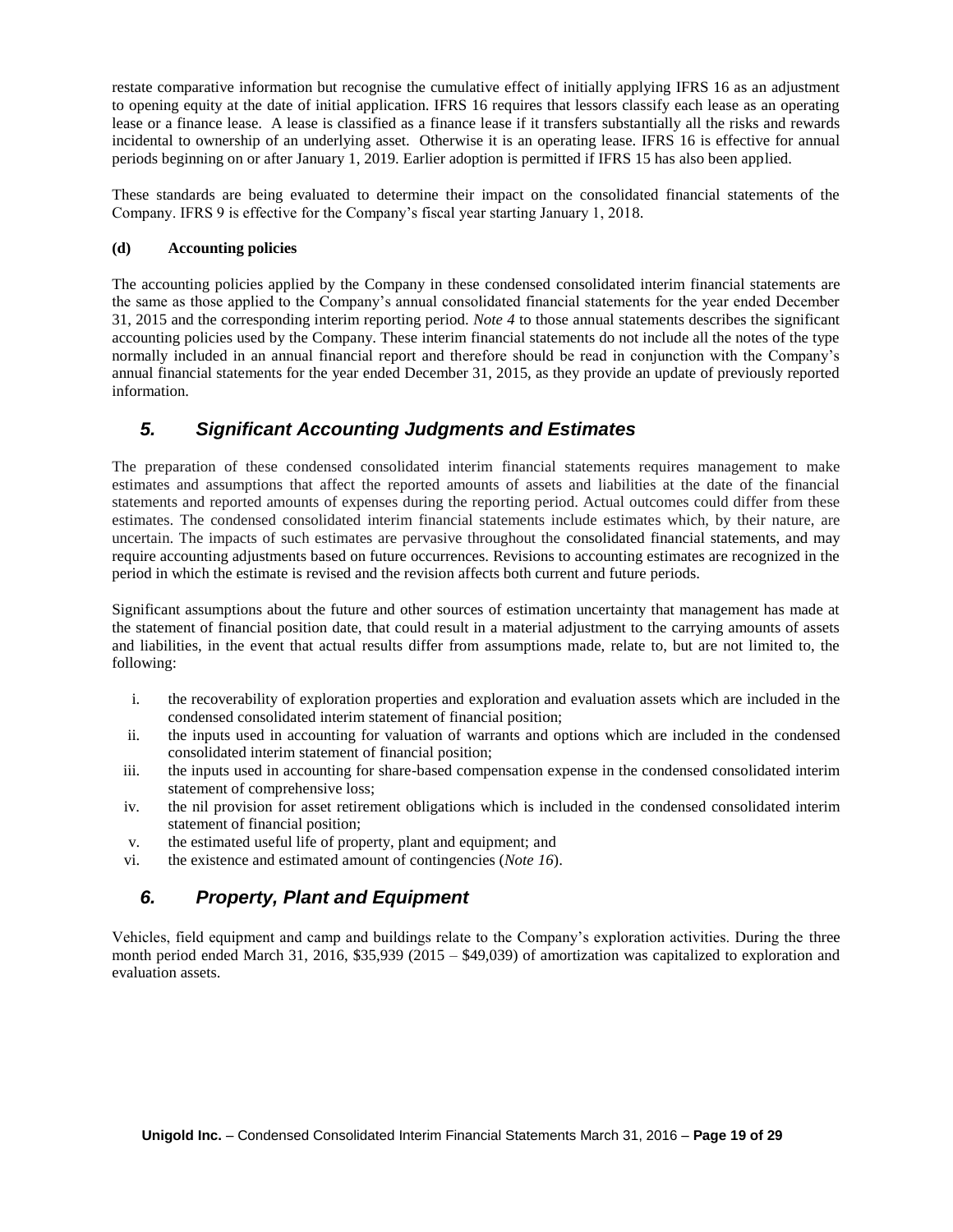restate comparative information but recognise the cumulative effect of initially applying IFRS 16 as an adjustment to opening equity at the date of initial application. IFRS 16 requires that lessors classify each lease as an operating lease or a finance lease. A lease is classified as a finance lease if it transfers substantially all the risks and rewards incidental to ownership of an underlying asset. Otherwise it is an operating lease. IFRS 16 is effective for annual periods beginning on or after January 1, 2019. Earlier adoption is permitted if IFRS 15 has also been applied.

These standards are being evaluated to determine their impact on the consolidated financial statements of the Company. IFRS 9 is effective for the Company's fiscal year starting January 1, 2018.

### **(d) Accounting policies**

The accounting policies applied by the Company in these condensed consolidated interim financial statements are the same as those applied to the Company's annual consolidated financial statements for the year ended December 31, 2015 and the corresponding interim reporting period. *Note 4* to those annual statements describes the significant accounting policies used by the Company. These interim financial statements do not include all the notes of the type normally included in an annual financial report and therefore should be read in conjunction with the Company's annual financial statements for the year ended December 31, 2015, as they provide an update of previously reported information.

# *5. Significant Accounting Judgments and Estimates*

The preparation of these condensed consolidated interim financial statements requires management to make estimates and assumptions that affect the reported amounts of assets and liabilities at the date of the financial statements and reported amounts of expenses during the reporting period. Actual outcomes could differ from these estimates. The condensed consolidated interim financial statements include estimates which, by their nature, are uncertain. The impacts of such estimates are pervasive throughout the consolidated financial statements, and may require accounting adjustments based on future occurrences. Revisions to accounting estimates are recognized in the period in which the estimate is revised and the revision affects both current and future periods.

Significant assumptions about the future and other sources of estimation uncertainty that management has made at the statement of financial position date, that could result in a material adjustment to the carrying amounts of assets and liabilities, in the event that actual results differ from assumptions made, relate to, but are not limited to, the following:

- i. the recoverability of exploration properties and exploration and evaluation assets which are included in the condensed consolidated interim statement of financial position;
- ii. the inputs used in accounting for valuation of warrants and options which are included in the condensed consolidated interim statement of financial position;
- iii. the inputs used in accounting for share-based compensation expense in the condensed consolidated interim statement of comprehensive loss;
- iv. the nil provision for asset retirement obligations which is included in the condensed consolidated interim statement of financial position;
- v. the estimated useful life of property, plant and equipment; and
- vi. the existence and estimated amount of contingencies (*Note 16*).

# *6. Property, Plant and Equipment*

Vehicles, field equipment and camp and buildings relate to the Company's exploration activities. During the three month period ended March 31, 2016, \$35,939 (2015 – \$49,039) of amortization was capitalized to exploration and evaluation assets.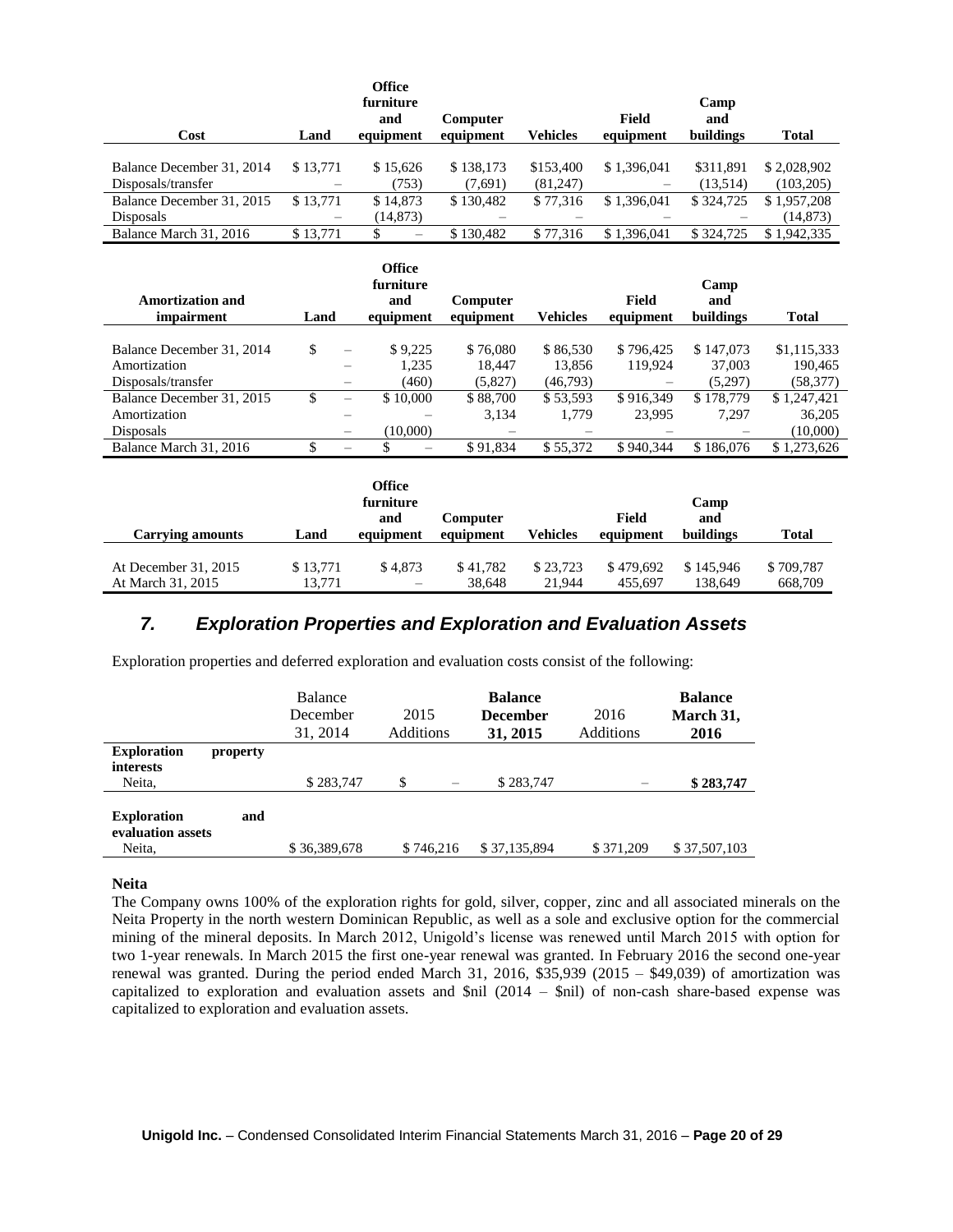| Cost                      | Land     | <b>Office</b><br>furniture<br>and<br>equipment | <b>Computer</b><br>equipment | Vehicles  | Field<br>equipment | Camp<br>and<br>buildings | <b>Total</b> |
|---------------------------|----------|------------------------------------------------|------------------------------|-----------|--------------------|--------------------------|--------------|
|                           |          |                                                |                              |           |                    |                          |              |
| Balance December 31, 2014 | \$13,771 | \$15,626                                       | \$138,173                    | \$153,400 | \$1,396,041        | \$311.891                | \$2,028,902  |
| Disposals/transfer        |          | (753)                                          | (7,691)                      | (81,247)  |                    | (13.514)                 | (103, 205)   |
| Balance December 31, 2015 | \$13,771 | \$14,873                                       | \$130.482                    | \$77,316  | \$1,396,041        | \$324,725                | \$1,957,208  |
| <b>Disposals</b>          | -        | (14, 873)                                      |                              |           |                    |                          | (14, 873)    |
| Balance March 31, 2016    | \$13,771 |                                                | \$130.482                    | \$77,316  | \$1,396,041        | \$324,725                | \$1,942,335  |

|                                       |      |                          | <b>Office</b><br>furniture |                       |          |                    | Camp             |              |
|---------------------------------------|------|--------------------------|----------------------------|-----------------------|----------|--------------------|------------------|--------------|
| <b>Amortization and</b><br>impairment | Land |                          | and<br>equipment           | Computer<br>equipment | Vehicles | Field<br>equipment | and<br>buildings | <b>Total</b> |
|                                       |      |                          |                            |                       |          |                    |                  |              |
| Balance December 31, 2014             | \$   |                          | \$9,225                    | \$76,080              | \$86,530 | \$796,425          | \$147,073        | \$1,115,333  |
| Amortization                          |      |                          | 1.235                      | 18.447                | 13.856   | 119,924            | 37,003           | 190,465      |
| Disposals/transfer                    |      |                          | (460)                      | (5,827)               | (46,793) |                    | (5,297)          | (58, 377)    |
| Balance December 31, 2015             |      | $\overline{\phantom{0}}$ | \$10,000                   | \$88,700              | \$53,593 | \$916,349          | \$178,779        | \$1,247,421  |
| Amortization                          |      |                          |                            | 3,134                 | 1.779    | 23.995             | 7.297            | 36,205       |
| <b>Disposals</b>                      |      | $\overline{\phantom{m}}$ | (10,000)                   |                       |          |                    |                  | (10,000)     |
| Balance March 31, 2016                |      |                          |                            | \$91,834              | \$55,372 | \$940,344          | \$186,076        | \$1,273,626  |

|                         |          | Office<br>furniture<br>and | <b>Computer</b> |                 | Field     | Camp<br>and |              |
|-------------------------|----------|----------------------------|-----------------|-----------------|-----------|-------------|--------------|
| <b>Carrying amounts</b> | Land     | equipment                  | equipment       | <b>Vehicles</b> | equipment | buildings   | <b>Total</b> |
|                         |          |                            |                 |                 |           |             |              |
| At December 31, 2015    | \$13,771 | \$4.873                    | \$41,782        | \$23.723        | \$479,692 | \$145,946   | \$709,787    |
| At March 31, 2015       | 13.771   | -                          | 38,648          | 21,944          | 455.697   | 138.649     | 668,709      |

### *7. Exploration Properties and Exploration and Evaluation Assets*

Exploration properties and deferred exploration and evaluation costs consist of the following:

|                                                   |          | <b>Balance</b><br>December<br>31, 2014 | 2015<br>Additions |           | <b>Balance</b><br><b>December</b><br>31, 2015 | 2016<br>Additions | <b>Balance</b><br>March 31,<br>2016 |
|---------------------------------------------------|----------|----------------------------------------|-------------------|-----------|-----------------------------------------------|-------------------|-------------------------------------|
| <b>Exploration</b><br><b>interests</b>            | property |                                        |                   |           |                                               |                   |                                     |
| Neita,                                            |          | \$283,747                              | \$                |           | \$283,747                                     |                   | \$283,747                           |
| <b>Exploration</b><br>evaluation assets<br>Neita, | and      | \$36,389,678                           |                   | \$746.216 | \$37,135,894                                  | \$371,209         | \$37,507,103                        |
|                                                   |          |                                        |                   |           |                                               |                   |                                     |

#### **Neita**

The Company owns 100% of the exploration rights for gold, silver, copper, zinc and all associated minerals on the Neita Property in the north western Dominican Republic, as well as a sole and exclusive option for the commercial mining of the mineral deposits. In March 2012, Unigold's license was renewed until March 2015 with option for two 1-year renewals. In March 2015 the first one-year renewal was granted. In February 2016 the second one-year renewal was granted. During the period ended March 31, 2016, \$35,939 (2015 – \$49,039) of amortization was capitalized to exploration and evaluation assets and  $\text{\$nil}$  (2014 –  $\text{\$nil}$ ) of non-cash share-based expense was capitalized to exploration and evaluation assets.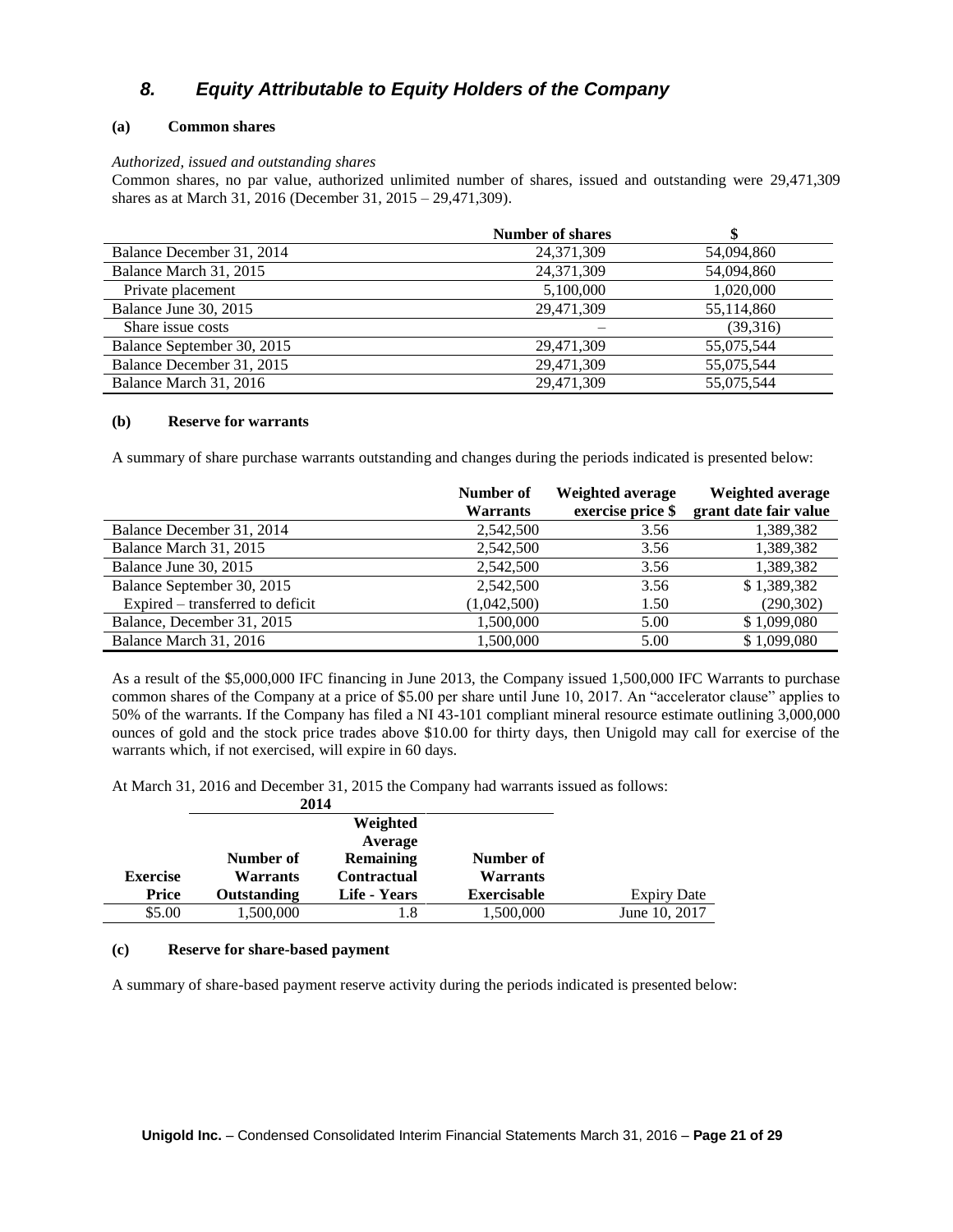# *8. Equity Attributable to Equity Holders of the Company*

### **(a) Common shares**

#### *Authorized, issued and outstanding shares*

Common shares, no par value, authorized unlimited number of shares, issued and outstanding were 29,471,309 shares as at March 31, 2016 (December 31, 2015 – 29,471,309).

|                            | <b>Number of shares</b> |            |
|----------------------------|-------------------------|------------|
| Balance December 31, 2014  | 24, 371, 309            | 54,094,860 |
| Balance March 31, 2015     | 24,371,309              | 54,094,860 |
| Private placement          | 5,100,000               | 1,020,000  |
| Balance June 30, 2015      | 29,471,309              | 55,114,860 |
| Share issue costs          |                         | (39,316)   |
| Balance September 30, 2015 | 29,471,309              | 55,075,544 |
| Balance December 31, 2015  | 29,471,309              | 55,075,544 |
| Balance March 31, 2016     | 29.471.309              | 55,075,544 |

#### **(b) Reserve for warrants**

A summary of share purchase warrants outstanding and changes during the periods indicated is presented below:

|                                  | Number of<br><b>Warrants</b> | Weighted average<br>exercise price \$ | Weighted average<br>grant date fair value |
|----------------------------------|------------------------------|---------------------------------------|-------------------------------------------|
| Balance December 31, 2014        | 2,542,500                    | 3.56                                  | 1,389,382                                 |
| Balance March 31, 2015           | 2,542,500                    | 3.56                                  | 1,389,382                                 |
| Balance June 30, 2015            | 2,542,500                    | 3.56                                  | 1,389,382                                 |
| Balance September 30, 2015       | 2,542,500                    | 3.56                                  | \$1,389,382                               |
| Expired – transferred to deficit | (1,042,500)                  | 1.50                                  | (290, 302)                                |
| Balance, December 31, 2015       | 1,500,000                    | 5.00                                  | \$1,099,080                               |
| Balance March 31, 2016           | 1,500,000                    | 5.00                                  | \$1,099,080                               |

As a result of the \$5,000,000 IFC financing in June 2013, the Company issued 1,500,000 IFC Warrants to purchase common shares of the Company at a price of \$5.00 per share until June 10, 2017. An "accelerator clause" applies to 50% of the warrants. If the Company has filed a NI 43-101 compliant mineral resource estimate outlining 3,000,000 ounces of gold and the stock price trades above \$10.00 for thirty days, then Unigold may call for exercise of the warrants which, if not exercised, will expire in 60 days.

At March 31, 2016 and December 31, 2015 the Company had warrants issued as follows:

|                 | 2014               |                    |                    |                    |
|-----------------|--------------------|--------------------|--------------------|--------------------|
|                 |                    | Weighted           |                    |                    |
|                 |                    | Average            |                    |                    |
|                 | Number of          | <b>Remaining</b>   | Number of          |                    |
| <b>Exercise</b> | <b>Warrants</b>    | <b>Contractual</b> | <b>Warrants</b>    |                    |
| Price           | <b>Outstanding</b> | Life - Years       | <b>Exercisable</b> | <b>Expiry Date</b> |
| \$5.00          | 1,500,000          | 1.8                | 1,500,000          | June 10, 2017      |

#### **(c) Reserve for share-based payment**

A summary of share-based payment reserve activity during the periods indicated is presented below: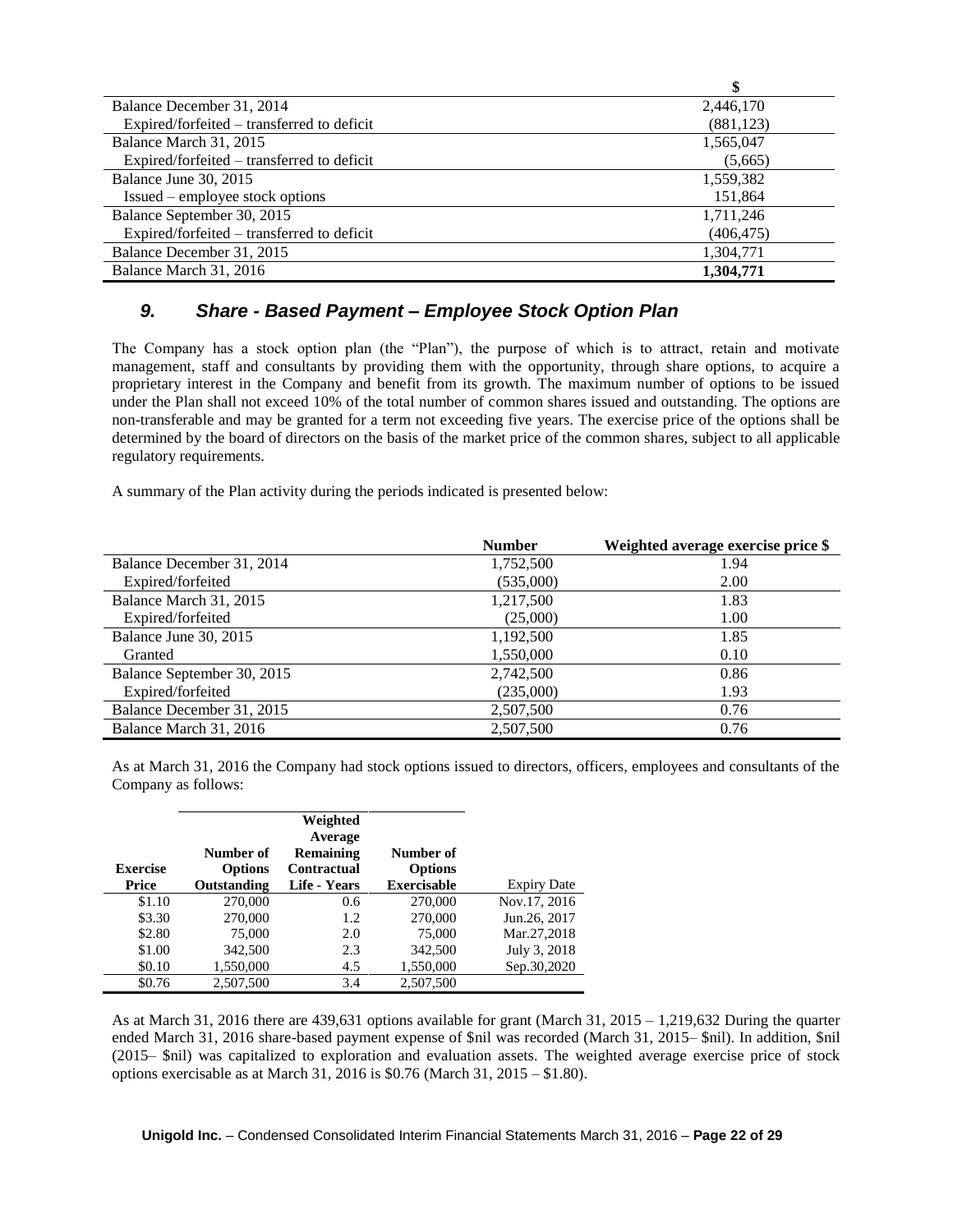|                                            | \$         |
|--------------------------------------------|------------|
| Balance December 31, 2014                  | 2,446,170  |
| Expired/forfeited – transferred to deficit | (881, 123) |
| Balance March 31, 2015                     | 1,565,047  |
| Expired/forfeited – transferred to deficit | (5,665)    |
| Balance June 30, 2015                      | 1,559,382  |
| Issued – employee stock options            | 151,864    |
| Balance September 30, 2015                 | 1,711,246  |
| Expired/forfeited – transferred to deficit | (406, 475) |
| Balance December 31, 2015                  | 1,304,771  |
| Balance March 31, 2016                     | 1,304,771  |

### *9. Share - Based Payment – Employee Stock Option Plan*

The Company has a stock option plan (the "Plan"), the purpose of which is to attract, retain and motivate management, staff and consultants by providing them with the opportunity, through share options, to acquire a proprietary interest in the Company and benefit from its growth. The maximum number of options to be issued under the Plan shall not exceed 10% of the total number of common shares issued and outstanding. The options are non-transferable and may be granted for a term not exceeding five years. The exercise price of the options shall be determined by the board of directors on the basis of the market price of the common shares, subject to all applicable regulatory requirements.

A summary of the Plan activity during the periods indicated is presented below:

|                            | <b>Number</b> | Weighted average exercise price \$ |
|----------------------------|---------------|------------------------------------|
| Balance December 31, 2014  | 1,752,500     | 1.94                               |
| Expired/forfeited          | (535,000)     | 2.00                               |
| Balance March 31, 2015     | 1,217,500     | 1.83                               |
| Expired/forfeited          | (25,000)      | 1.00                               |
| Balance June 30, 2015      | 1,192,500     | 1.85                               |
| Granted                    | 1,550,000     | 0.10                               |
| Balance September 30, 2015 | 2,742,500     | 0.86                               |
| Expired/forfeited          | (235,000)     | 1.93                               |
| Balance December 31, 2015  | 2,507,500     | 0.76                               |
| Balance March 31, 2016     | 2.507.500     | 0.76                               |

As at March 31, 2016 the Company had stock options issued to directors, officers, employees and consultants of the Company as follows:

| <b>Exercise</b><br>Price | Number of<br><b>Options</b><br>Outstanding | Weighted<br>Average<br><b>Remaining</b><br>Contractual<br>Life - Years | Number of<br><b>Options</b><br><b>Exercisable</b> | <b>Expiry Date</b> |
|--------------------------|--------------------------------------------|------------------------------------------------------------------------|---------------------------------------------------|--------------------|
| \$1.10                   | 270,000                                    | 0.6                                                                    | 270,000                                           | Nov.17, 2016       |
| \$3.30                   | 270,000                                    | 1.2                                                                    | 270,000                                           | Jun.26, 2017       |
| \$2.80                   | 75,000                                     | 2.0                                                                    | 75,000                                            | Mar.27,2018        |
| \$1.00                   | 342,500                                    | 2.3                                                                    | 342,500                                           | July 3, 2018       |
| \$0.10                   | 1,550,000                                  | 4.5                                                                    | 1,550,000                                         | Sep.30,2020        |
| \$0.76                   | 2,507,500                                  | 3.4                                                                    | 2,507,500                                         |                    |

As at March 31, 2016 there are 439,631 options available for grant (March 31, 2015 – 1,219,632 During the quarter ended March 31, 2016 share-based payment expense of \$nil was recorded (March 31, 2015– \$nil). In addition, \$nil (2015– \$nil) was capitalized to exploration and evaluation assets. The weighted average exercise price of stock options exercisable as at March 31, 2016 is \$0.76 (March 31, 2015 – \$1.80).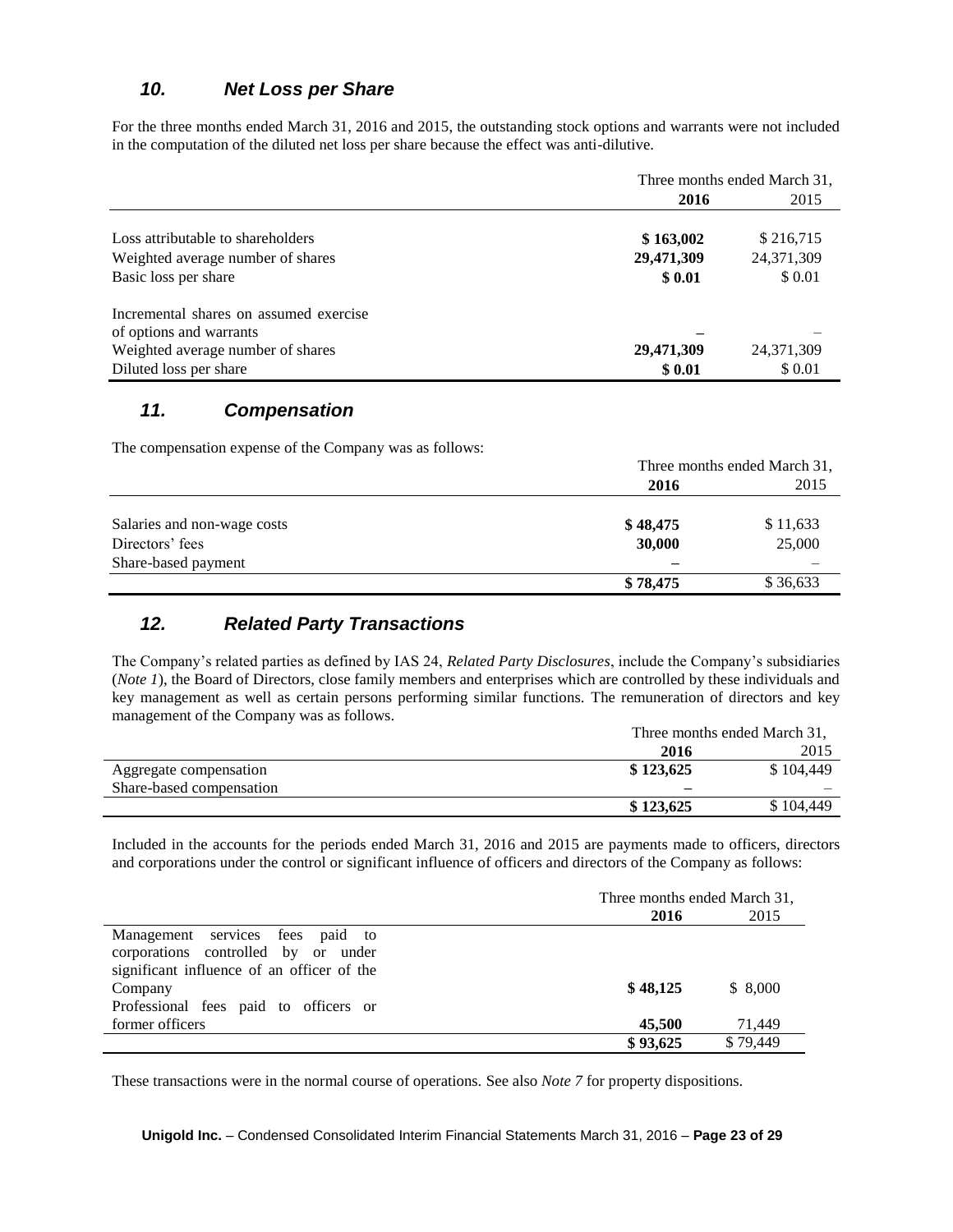# *10. Net Loss per Share*

For the three months ended March 31, 2016 and 2015, the outstanding stock options and warrants were not included in the computation of the diluted net loss per share because the effect was anti-dilutive.

|                                        | Three months ended March 31, |              |  |
|----------------------------------------|------------------------------|--------------|--|
|                                        | 2016                         | 2015         |  |
|                                        |                              |              |  |
| Loss attributable to shareholders      | \$163,002                    | \$216,715    |  |
| Weighted average number of shares      | 29,471,309                   | 24, 371, 309 |  |
| Basic loss per share                   | \$ 0.01                      | \$ 0.01      |  |
| Incremental shares on assumed exercise |                              |              |  |
| of options and warrants                |                              |              |  |
| Weighted average number of shares      | 29,471,309                   | 24,371,309   |  |
| Diluted loss per share                 | \$0.01                       | \$ 0.01      |  |

### *11. Compensation*

The compensation expense of the Company was as follows:

|                             | Three months ended March 31, |          |  |
|-----------------------------|------------------------------|----------|--|
|                             | 2016                         | 2015     |  |
|                             |                              |          |  |
| Salaries and non-wage costs | \$48,475                     | \$11,633 |  |
| Directors' fees             | 30,000                       | 25,000   |  |
| Share-based payment         |                              |          |  |
|                             | \$78,475                     | \$36,633 |  |

## *12. Related Party Transactions*

The Company's related parties as defined by IAS 24, *Related Party Disclosures*, include the Company's subsidiaries (*Note 1*), the Board of Directors, close family members and enterprises which are controlled by these individuals and key management as well as certain persons performing similar functions. The remuneration of directors and key management of the Company was as follows.

|                          | Three months ended March 31, |           |  |
|--------------------------|------------------------------|-----------|--|
|                          | 2016                         | 2015      |  |
| Aggregate compensation   | \$123,625                    | \$104,449 |  |
| Share-based compensation | -                            |           |  |
|                          | \$123,625                    | \$104,449 |  |

Included in the accounts for the periods ended March 31, 2016 and 2015 are payments made to officers, directors and corporations under the control or significant influence of officers and directors of the Company as follows:

|                                            | Three months ended March 31, |          |  |
|--------------------------------------------|------------------------------|----------|--|
|                                            | 2016                         | 2015     |  |
| Management services fees paid to           |                              |          |  |
| corporations controlled by or under        |                              |          |  |
| significant influence of an officer of the |                              |          |  |
| Company                                    | \$48,125                     | \$8.000  |  |
| Professional fees paid to officers or      |                              |          |  |
| former officers                            | 45,500                       | 71,449   |  |
|                                            | \$93,625                     | \$79,449 |  |

These transactions were in the normal course of operations. See also *Note 7* for property dispositions.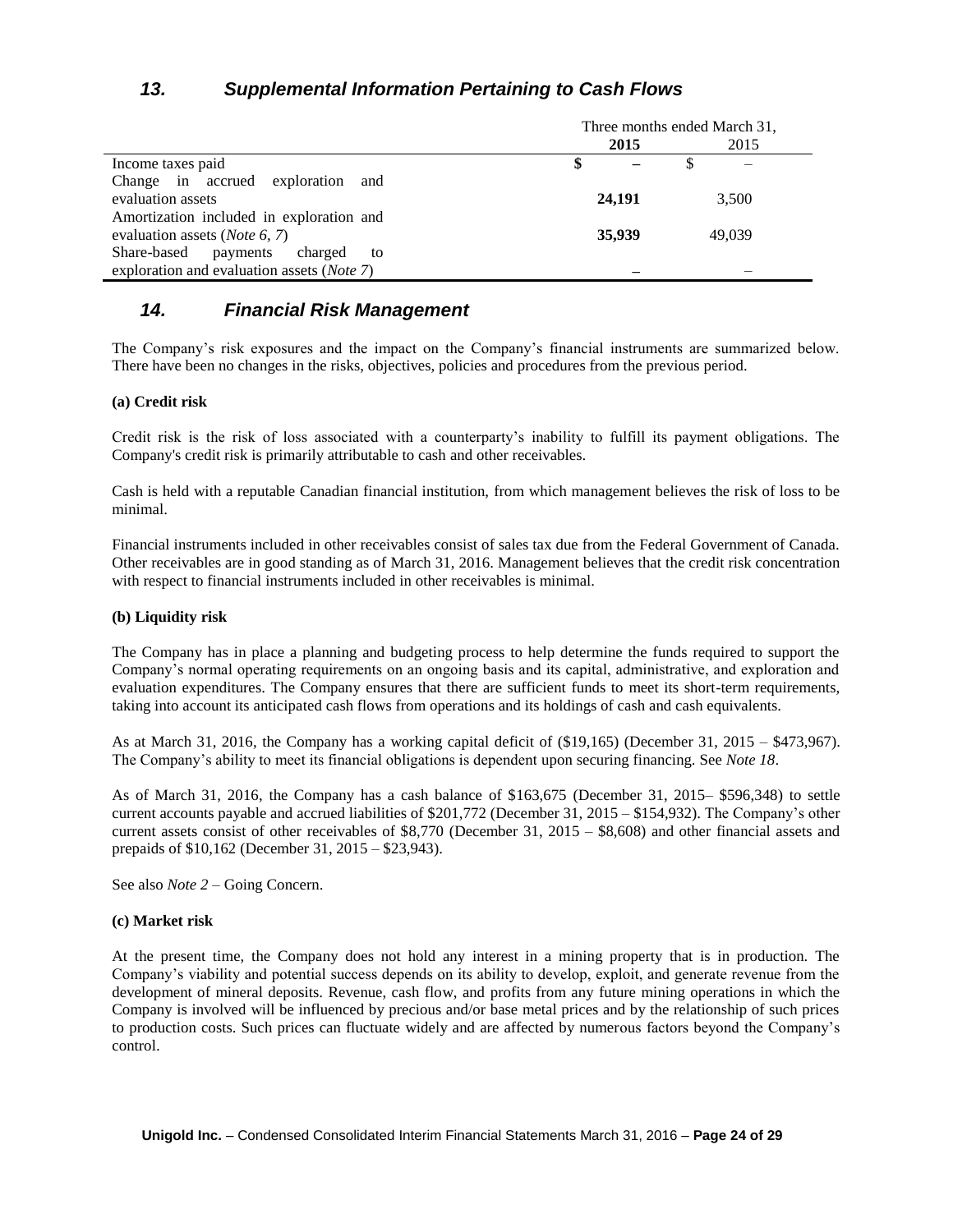# *13. Supplemental Information Pertaining to Cash Flows*

|                                                    | Three months ended March 31, |        |        |
|----------------------------------------------------|------------------------------|--------|--------|
|                                                    |                              | 2015   | 2015   |
| Income taxes paid                                  |                              |        |        |
| Change in accrued exploration<br>and               |                              |        |        |
| evaluation assets                                  |                              | 24,191 | 3,500  |
| Amortization included in exploration and           |                              |        |        |
| evaluation assets ( <i>Note 6, 7</i> )             |                              | 35,939 | 49,039 |
| Share-based<br>payments<br>charged<br>to           |                              |        |        |
| exploration and evaluation assets ( <i>Note</i> 7) |                              |        |        |

### *14. Financial Risk Management*

The Company's risk exposures and the impact on the Company's financial instruments are summarized below. There have been no changes in the risks, objectives, policies and procedures from the previous period.

#### **(a) Credit risk**

Credit risk is the risk of loss associated with a counterparty's inability to fulfill its payment obligations. The Company's credit risk is primarily attributable to cash and other receivables.

Cash is held with a reputable Canadian financial institution, from which management believes the risk of loss to be minimal.

Financial instruments included in other receivables consist of sales tax due from the Federal Government of Canada. Other receivables are in good standing as of March 31, 2016. Management believes that the credit risk concentration with respect to financial instruments included in other receivables is minimal.

#### **(b) Liquidity risk**

The Company has in place a planning and budgeting process to help determine the funds required to support the Company's normal operating requirements on an ongoing basis and its capital, administrative, and exploration and evaluation expenditures. The Company ensures that there are sufficient funds to meet its short-term requirements, taking into account its anticipated cash flows from operations and its holdings of cash and cash equivalents.

As at March 31, 2016, the Company has a working capital deficit of (\$19,165) (December 31, 2015 – \$473,967). The Company's ability to meet its financial obligations is dependent upon securing financing. See *Note 18*.

As of March 31, 2016, the Company has a cash balance of \$163,675 (December 31, 2015– \$596,348) to settle current accounts payable and accrued liabilities of \$201,772 (December 31, 2015 – \$154,932). The Company's other current assets consist of other receivables of \$8,770 (December 31, 2015 – \$8,608) and other financial assets and prepaids of \$10,162 (December 31, 2015 – \$23,943).

See also *Note 2* – Going Concern.

#### **(c) Market risk**

At the present time, the Company does not hold any interest in a mining property that is in production. The Company's viability and potential success depends on its ability to develop, exploit, and generate revenue from the development of mineral deposits. Revenue, cash flow, and profits from any future mining operations in which the Company is involved will be influenced by precious and/or base metal prices and by the relationship of such prices to production costs. Such prices can fluctuate widely and are affected by numerous factors beyond the Company's control.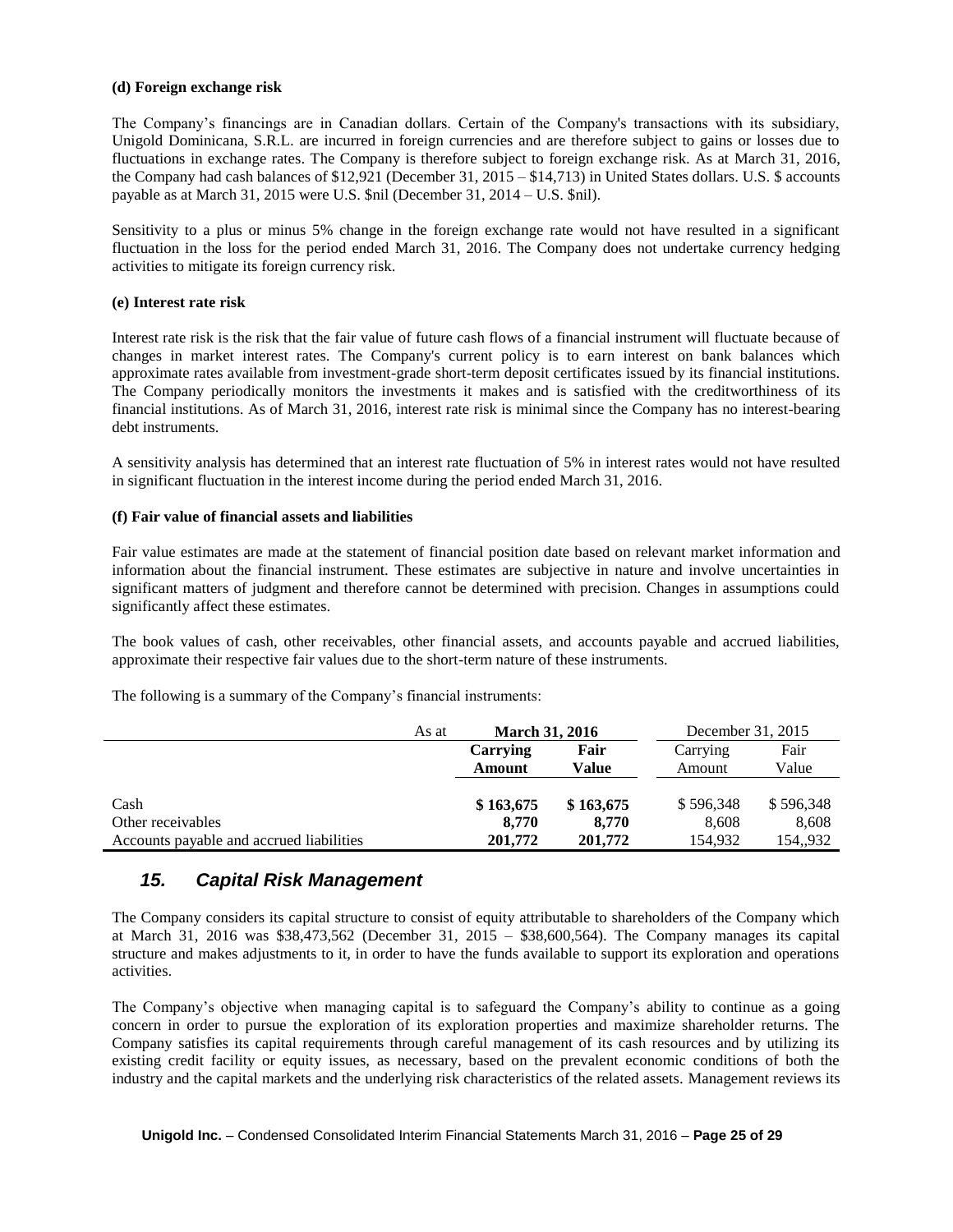#### **(d) Foreign exchange risk**

The Company's financings are in Canadian dollars. Certain of the Company's transactions with its subsidiary, Unigold Dominicana, S.R.L. are incurred in foreign currencies and are therefore subject to gains or losses due to fluctuations in exchange rates. The Company is therefore subject to foreign exchange risk. As at March 31, 2016, the Company had cash balances of \$12,921 (December 31, 2015 – \$14,713) in United States dollars. U.S. \$ accounts payable as at March 31, 2015 were U.S. \$nil (December 31, 2014 – U.S. \$nil).

Sensitivity to a plus or minus 5% change in the foreign exchange rate would not have resulted in a significant fluctuation in the loss for the period ended March 31, 2016. The Company does not undertake currency hedging activities to mitigate its foreign currency risk.

#### **(e) Interest rate risk**

Interest rate risk is the risk that the fair value of future cash flows of a financial instrument will fluctuate because of changes in market interest rates. The Company's current policy is to earn interest on bank balances which approximate rates available from investment-grade short-term deposit certificates issued by its financial institutions. The Company periodically monitors the investments it makes and is satisfied with the creditworthiness of its financial institutions. As of March 31, 2016, interest rate risk is minimal since the Company has no interest-bearing debt instruments.

A sensitivity analysis has determined that an interest rate fluctuation of 5% in interest rates would not have resulted in significant fluctuation in the interest income during the period ended March 31, 2016.

#### **(f) Fair value of financial assets and liabilities**

Fair value estimates are made at the statement of financial position date based on relevant market information and information about the financial instrument. These estimates are subjective in nature and involve uncertainties in significant matters of judgment and therefore cannot be determined with precision. Changes in assumptions could significantly affect these estimates.

The book values of cash, other receivables, other financial assets, and accounts payable and accrued liabilities, approximate their respective fair values due to the short-term nature of these instruments.

The following is a summary of the Company's financial instruments:

|                                          | As at | <b>March 31, 2016</b> |           | December 31, 2015 |           |
|------------------------------------------|-------|-----------------------|-----------|-------------------|-----------|
|                                          |       | <b>Carrving</b>       | Fair      | Carrying          | Fair      |
|                                          |       | Amount                | Value     | Amount            | Value     |
|                                          |       |                       |           |                   |           |
| Cash                                     |       | \$163,675             | \$163,675 | \$596,348         | \$596,348 |
| Other receivables                        |       | 8.770                 | 8.770     | 8.608             | 8,608     |
| Accounts payable and accrued liabilities |       | 201,772               | 201,772   | 154.932           | 154,,932  |

### *15. Capital Risk Management*

The Company considers its capital structure to consist of equity attributable to shareholders of the Company which at March 31, 2016 was \$38,473,562 (December 31, 2015 – \$38,600,564). The Company manages its capital structure and makes adjustments to it, in order to have the funds available to support its exploration and operations activities.

The Company's objective when managing capital is to safeguard the Company's ability to continue as a going concern in order to pursue the exploration of its exploration properties and maximize shareholder returns. The Company satisfies its capital requirements through careful management of its cash resources and by utilizing its existing credit facility or equity issues, as necessary, based on the prevalent economic conditions of both the industry and the capital markets and the underlying risk characteristics of the related assets. Management reviews its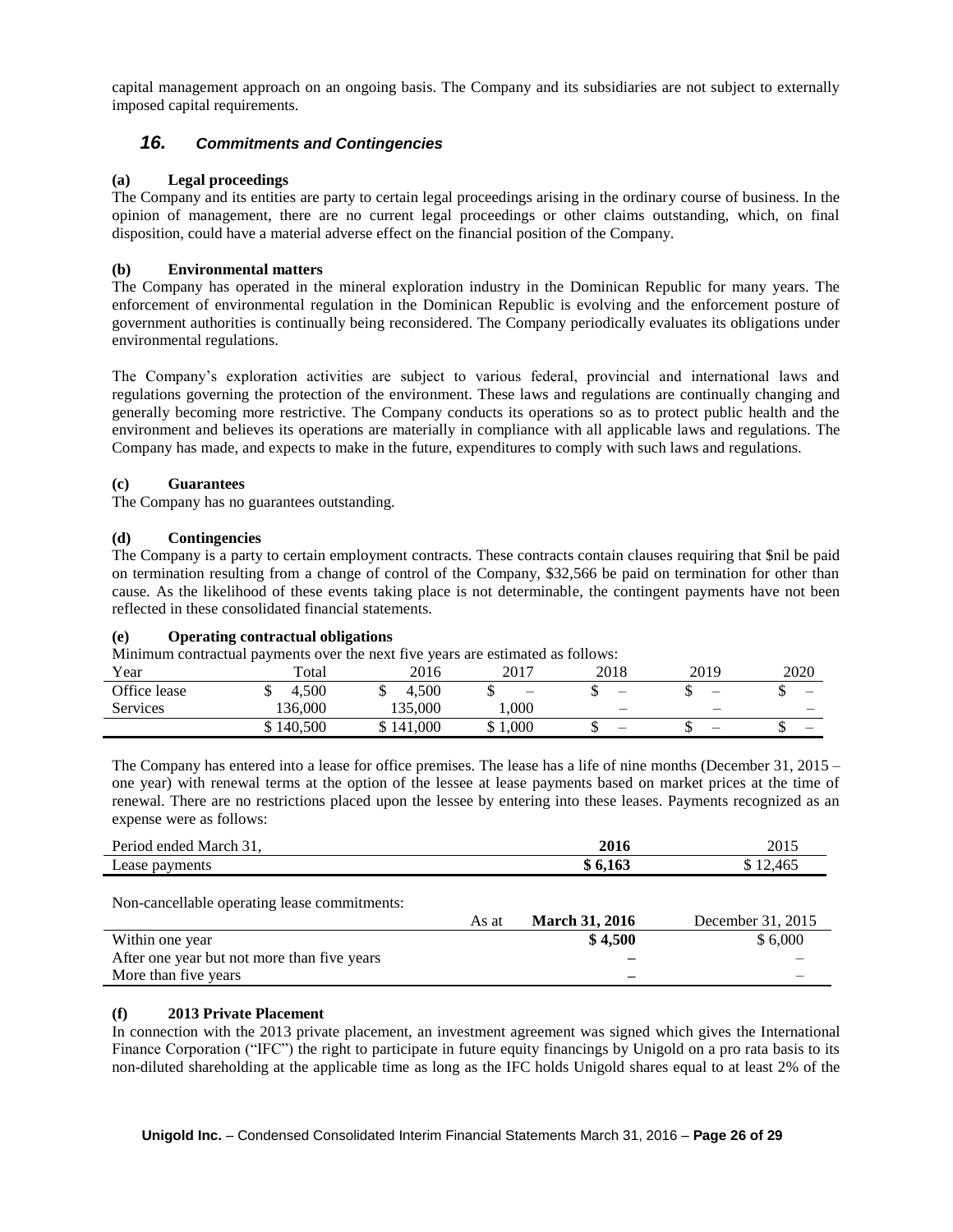capital management approach on an ongoing basis. The Company and its subsidiaries are not subject to externally imposed capital requirements.

### *16. Commitments and Contingencies*

#### **(a) Legal proceedings**

The Company and its entities are party to certain legal proceedings arising in the ordinary course of business. In the opinion of management, there are no current legal proceedings or other claims outstanding, which, on final disposition, could have a material adverse effect on the financial position of the Company.

### **(b) Environmental matters**

The Company has operated in the mineral exploration industry in the Dominican Republic for many years. The enforcement of environmental regulation in the Dominican Republic is evolving and the enforcement posture of government authorities is continually being reconsidered. The Company periodically evaluates its obligations under environmental regulations.

The Company's exploration activities are subject to various federal, provincial and international laws and regulations governing the protection of the environment. These laws and regulations are continually changing and generally becoming more restrictive. The Company conducts its operations so as to protect public health and the environment and believes its operations are materially in compliance with all applicable laws and regulations. The Company has made, and expects to make in the future, expenditures to comply with such laws and regulations.

#### **(c) Guarantees**

The Company has no guarantees outstanding.

#### **(d) Contingencies**

The Company is a party to certain employment contracts. These contracts contain clauses requiring that \$nil be paid on termination resulting from a change of control of the Company, \$32,566 be paid on termination for other than cause. As the likelihood of these events taking place is not determinable, the contingent payments have not been reflected in these consolidated financial statements.

#### **(e) Operating contractual obligations**

Minimum contractual payments over the next five years are estimated as follows:

| Year            | .<br>Total | 2016    | 2017                     | 2018                     | 2019                     | 2020     |
|-----------------|------------|---------|--------------------------|--------------------------|--------------------------|----------|
| Office lease    | 4.500      | 4.500   | $\overline{\phantom{m}}$ | -                        | $\overline{\phantom{0}}$ | –<br>ιIJ |
| <b>Services</b> | 136.000    | 135.000 | 1.000                    | $\overline{\phantom{a}}$ | -                        | –        |
|                 | \$140.500  | 141,000 | 1.000<br>w               | _                        | -                        | _<br>. . |

The Company has entered into a lease for office premises. The lease has a life of nine months (December 31, 2015 – one year) with renewal terms at the option of the lessee at lease payments based on market prices at the time of renewal. There are no restrictions placed upon the lessee by entering into these leases. Payments recognized as an expense were as follows:

| Period ended March 31,                       |       | 2016                  | 2015              |
|----------------------------------------------|-------|-----------------------|-------------------|
| Lease payments                               |       | \$6,163               | \$12,465          |
| Non-cancellable operating lease commitments: | As at | <b>March 31, 2016</b> | December 31, 2015 |
| Within one year                              |       | \$4,500               | \$6,000           |
| After one year but not more than five years  |       |                       |                   |
| More than five years                         |       |                       |                   |

### **(f) 2013 Private Placement**

In connection with the 2013 private placement, an investment agreement was signed which gives the International Finance Corporation ("IFC") the right to participate in future equity financings by Unigold on a pro rata basis to its non-diluted shareholding at the applicable time as long as the IFC holds Unigold shares equal to at least 2% of the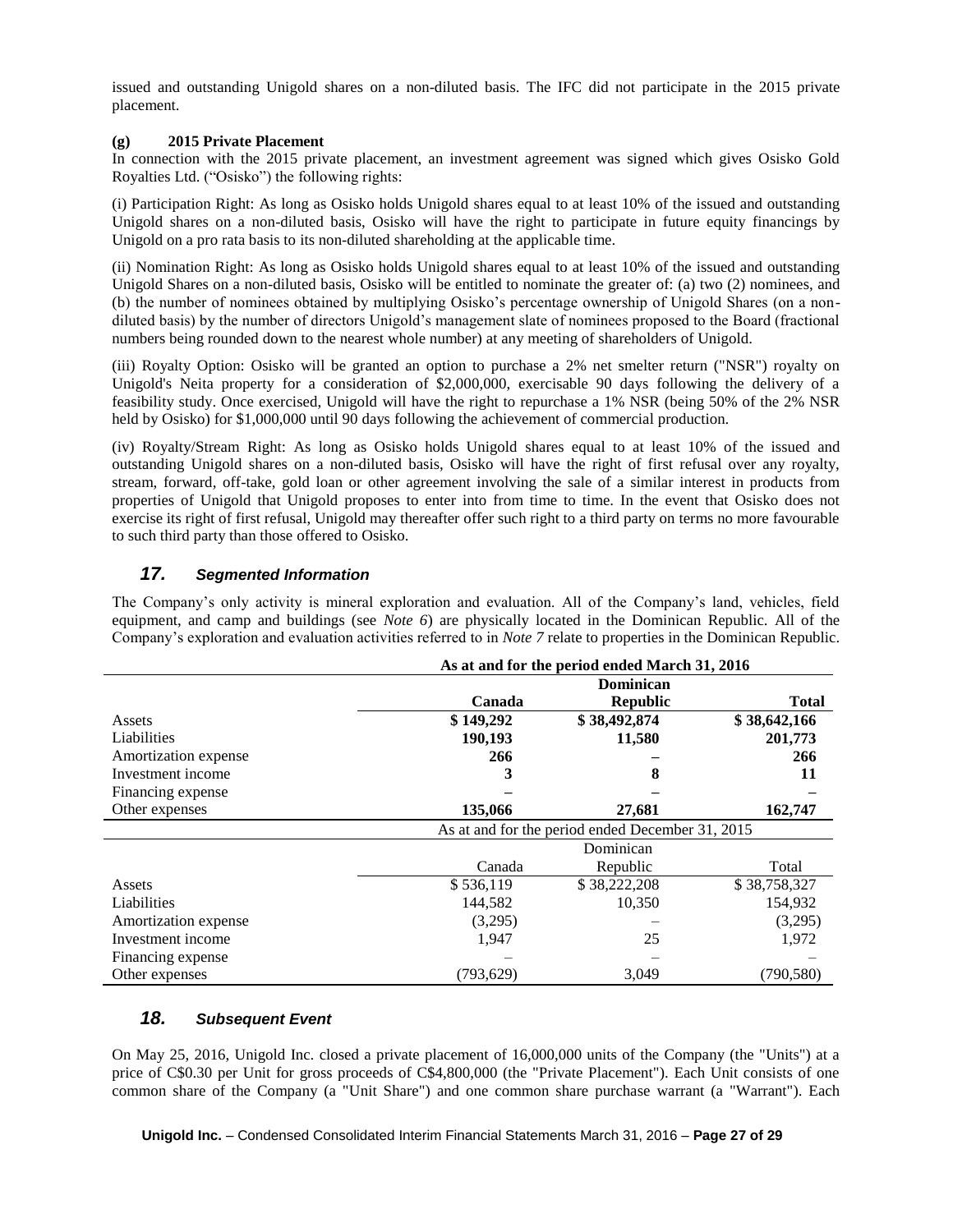issued and outstanding Unigold shares on a non-diluted basis. The IFC did not participate in the 2015 private placement.

#### **(g) 2015 Private Placement**

In connection with the 2015 private placement, an investment agreement was signed which gives Osisko Gold Royalties Ltd. ("Osisko") the following rights:

(i) Participation Right: As long as Osisko holds Unigold shares equal to at least 10% of the issued and outstanding Unigold shares on a non-diluted basis, Osisko will have the right to participate in future equity financings by Unigold on a pro rata basis to its non-diluted shareholding at the applicable time.

(ii) Nomination Right: As long as Osisko holds Unigold shares equal to at least 10% of the issued and outstanding Unigold Shares on a non-diluted basis, Osisko will be entitled to nominate the greater of: (a) two (2) nominees, and (b) the number of nominees obtained by multiplying Osisko's percentage ownership of Unigold Shares (on a nondiluted basis) by the number of directors Unigold's management slate of nominees proposed to the Board (fractional numbers being rounded down to the nearest whole number) at any meeting of shareholders of Unigold.

(iii) Royalty Option: Osisko will be granted an option to purchase a 2% net smelter return ("NSR") royalty on Unigold's Neita property for a consideration of \$2,000,000, exercisable 90 days following the delivery of a feasibility study. Once exercised, Unigold will have the right to repurchase a 1% NSR (being 50% of the 2% NSR held by Osisko) for \$1,000,000 until 90 days following the achievement of commercial production.

(iv) Royalty/Stream Right: As long as Osisko holds Unigold shares equal to at least 10% of the issued and outstanding Unigold shares on a non-diluted basis, Osisko will have the right of first refusal over any royalty, stream, forward, off-take, gold loan or other agreement involving the sale of a similar interest in products from properties of Unigold that Unigold proposes to enter into from time to time. In the event that Osisko does not exercise its right of first refusal, Unigold may thereafter offer such right to a third party on terms no more favourable to such third party than those offered to Osisko.

### *17. Segmented Information*

The Company's only activity is mineral exploration and evaluation. All of the Company's land, vehicles, field equipment, and camp and buildings (see *Note 6*) are physically located in the Dominican Republic. All of the Company's exploration and evaluation activities referred to in *Note 7* relate to properties in the Dominican Republic.

|                      | As at and for the period ended March 31, 2016    |                 |              |  |
|----------------------|--------------------------------------------------|-----------------|--------------|--|
|                      | <b>Dominican</b>                                 |                 |              |  |
|                      | Canada                                           | <b>Republic</b> | <b>Total</b> |  |
| Assets               | \$149,292                                        | \$38,492,874    | \$38,642,166 |  |
| Liabilities          | 190,193                                          | 11,580          | 201,773      |  |
| Amortization expense | 266                                              |                 | 266          |  |
| Investment income    |                                                  | 8               | 11           |  |
| Financing expense    |                                                  |                 |              |  |
| Other expenses       | 135,066                                          | 27,681          | 162,747      |  |
|                      | As at and for the period ended December 31, 2015 |                 |              |  |
|                      | Dominican                                        |                 |              |  |
|                      | Canada                                           | Republic        | Total        |  |
| Assets               | \$536,119                                        | \$38,222,208    | \$38,758,327 |  |
| Liabilities          | 144,582                                          | 10,350          | 154,932      |  |
| Amortization expense | (3,295)                                          |                 | (3,295)      |  |
| Investment income    | 1,947                                            | 25              | 1,972        |  |
| Financing expense    |                                                  |                 |              |  |
| Other expenses       | (793,629)                                        | 3,049           | (790, 580)   |  |

### *18. Subsequent Event*

On May 25, 2016, Unigold Inc. closed a private placement of 16,000,000 units of the Company (the "Units") at a price of C\$0.30 per Unit for gross proceeds of C\$4,800,000 (the "Private Placement"). Each Unit consists of one common share of the Company (a "Unit Share") and one common share purchase warrant (a "Warrant"). Each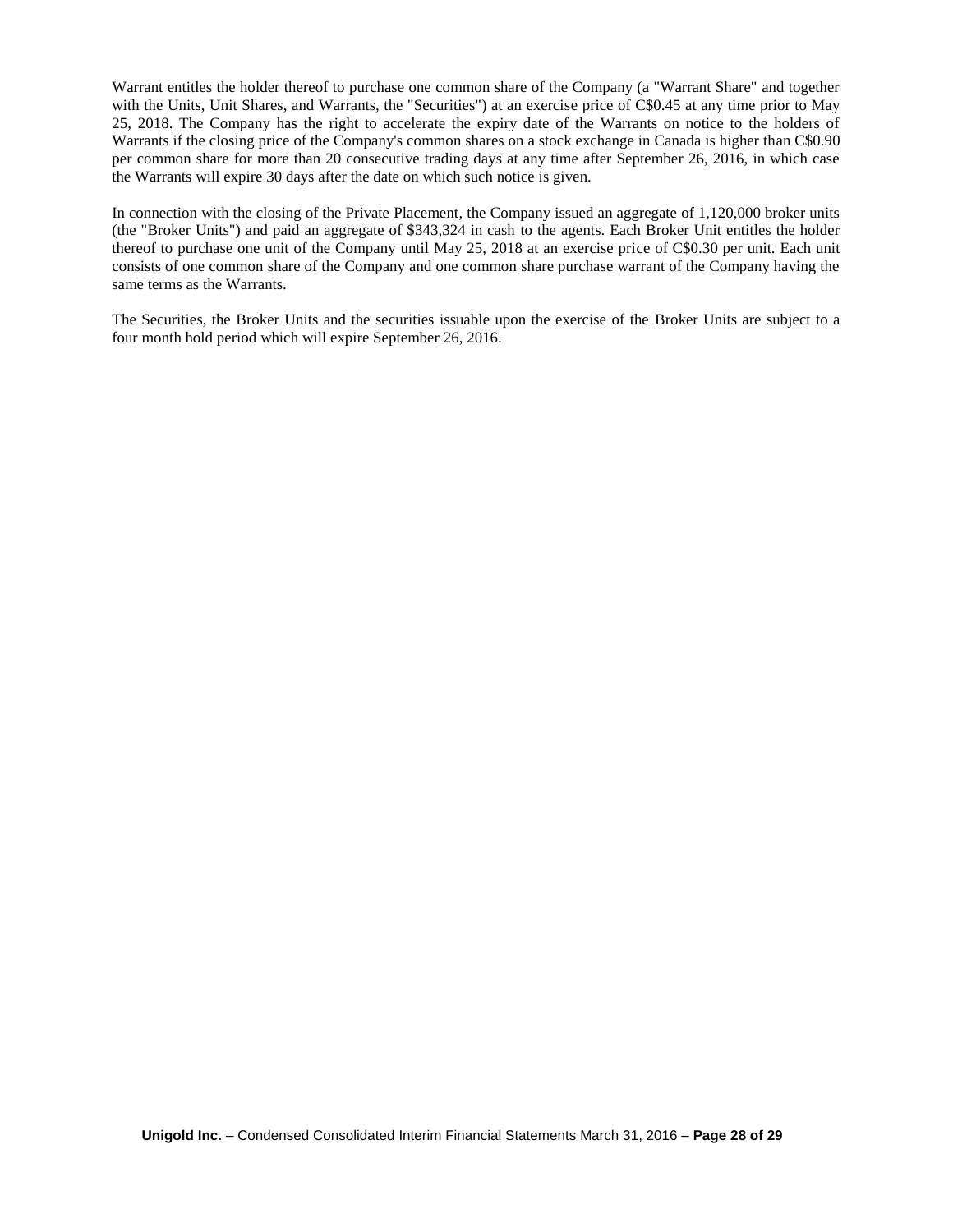Warrant entitles the holder thereof to purchase one common share of the Company (a "Warrant Share" and together with the Units, Unit Shares, and Warrants, the "Securities") at an exercise price of C\$0.45 at any time prior to May 25, 2018. The Company has the right to accelerate the expiry date of the Warrants on notice to the holders of Warrants if the closing price of the Company's common shares on a stock exchange in Canada is higher than C\$0.90 per common share for more than 20 consecutive trading days at any time after September 26, 2016, in which case the Warrants will expire 30 days after the date on which such notice is given.

In connection with the closing of the Private Placement, the Company issued an aggregate of 1,120,000 broker units (the "Broker Units") and paid an aggregate of \$343,324 in cash to the agents. Each Broker Unit entitles the holder thereof to purchase one unit of the Company until May 25, 2018 at an exercise price of C\$0.30 per unit. Each unit consists of one common share of the Company and one common share purchase warrant of the Company having the same terms as the Warrants.

The Securities, the Broker Units and the securities issuable upon the exercise of the Broker Units are subject to a four month hold period which will expire September 26, 2016.